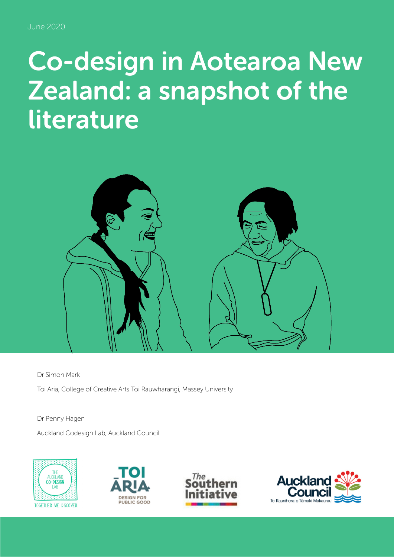# Co-design in Aotearoa New Zealand: a snapshot of the literature



Dr Simon Mark

Toi Āria, College of Creative Arts Toi Rauwhārangi, Massey University

Dr Penny Hagen

Auckland Codesign Lab, Auckland Council



![](_page_0_Picture_8.jpeg)

![](_page_0_Picture_9.jpeg)

![](_page_0_Picture_10.jpeg)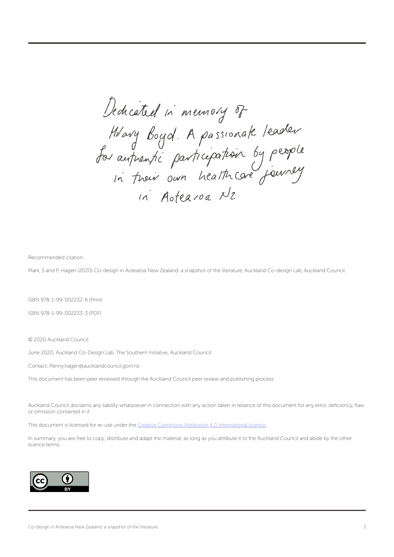Dedicated in memory of<br>Hilary Boyd. A passionate leader<br>for authempic participation by people<br>in their own healthcare journey

Recommended citation

Mark, S and P, Hagen (2020) Co-design in Aotearoa New Zealand: a snapshot of the literature, Auckland Co-design Lab, Auckland Council.

ISBN 978-1-99-002232-6 (Print)

ISBN 978-1-99-002233-3 (PDF)

© 2020 Auckland Council

June 2020, Auckland Co-Design Lab, The Southern Initiative, Auckland Council.

Contact: Penny.hagen@aucklandcouncil.govt.nz

This document has been peer reviewed through the Auckland Council peer review and publishing process.

Auckland Council disclaims any liability whatsoever in connection with any action taken in reliance of this document for any error, deficiency, flaw or omission contained in it.

This document is licensed for re-use under the [Creative Commons Attribution 4.0 International licence.](https://creativecommons.org/licenses/by/4.0/)

In summary, you are free to copy, distribute and adapt the material, as long as you attribute it to the Auckland Council and abide by the other licence terms.

![](_page_1_Picture_12.jpeg)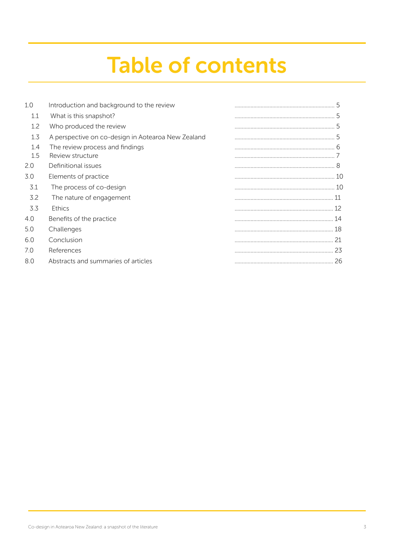# **Table of contents**

| 1.0 | Introduction and background to the review          | 5  |
|-----|----------------------------------------------------|----|
| 1.1 | What is this snapshot?                             | 5  |
| 1.2 | Who produced the review                            |    |
| 1.3 | A perspective on co-design in Aotearoa New Zealand |    |
| 1.4 | The review process and findings                    |    |
| 1.5 | Review structure                                   |    |
| 2.0 | Definitional issues                                |    |
| 3.0 | Elements of practice                               | 10 |
| 3.1 | The process of co-design                           | 10 |
| 3.2 | The nature of engagement                           | 11 |
| 3.3 | <b>Ethics</b>                                      | 12 |
| 4.0 | Benefits of the practice                           | 14 |
| 5.0 | Challenges                                         | 18 |
| 6.0 | Conclusion                                         | 21 |
| 7.0 | References                                         | 23 |
| 8.0 | Abstracts and summaries of articles                | 26 |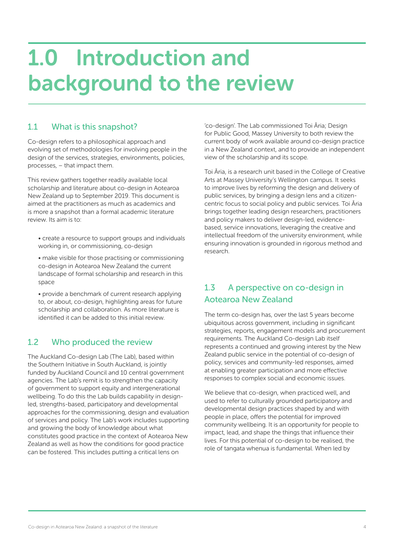# 1.0 Introduction and background to the review

## 1.1 What is this snapshot?

Co-design refers to a philosophical approach and evolving set of methodologies for involving people in the design of the services, strategies, environments, policies, processes, – that impact them.

This review gathers together readily available local scholarship and literature about co-design in Aotearoa New Zealand up to September 2019. This document is aimed at the practitioners as much as academics and is more a snapshot than a formal academic literature review. Its aim is to:

- create a resource to support groups and individuals working in, or commissioning, co-design
- make visible for those practising or commissioning co-design in Aotearoa New Zealand the current landscape of formal scholarship and research in this space
- provide a benchmark of current research applying to, or about, co-design, highlighting areas for future scholarship and collaboration. As more literature is identified it can be added to this initial review.

## 1.2 Who produced the review

The Auckland Co-design Lab (The Lab), based within the Southern Initiative in South Auckland, is jointly funded by Auckland Council and 10 central government agencies. The Lab's remit is to strengthen the capacity of government to support equity and intergenerational wellbeing. To do this the Lab builds capability in designled, strengths-based, participatory and developmental approaches for the commissioning, design and evaluation of services and policy. The Lab's work includes supporting and growing the body of knowledge about what constitutes good practice in the context of Aotearoa New Zealand as well as how the conditions for good practice can be fostered. This includes putting a critical lens on

'co-design'. The Lab commissioned Toi Āria; Design for Public Good, Massey University to both review the current body of work available around co-design practice in a New Zealand context, and to provide an independent view of the scholarship and its scope.

Toi Āria, is a research unit based in the College of Creative Arts at Massey University's Wellington campus. It seeks to improve lives by reforming the design and delivery of public services, by bringing a design lens and a citizencentric focus to social policy and public services. Toi Āria brings together leading design researchers, practitioners and policy makers to deliver design-led, evidencebased, service innovations, leveraging the creative and intellectual freedom of the university environment, while ensuring innovation is grounded in rigorous method and research.

# 1.3 A perspective on co-design in Aotearoa New Zealand

The term co-design has, over the last 5 years become ubiquitous across government, including in significant strategies, reports, engagement models and procurement requirements. The Auckland Co-design Lab itself represents a continued and growing interest by the New Zealand public service in the potential of co-design of policy, services and community-led responses, aimed at enabling greater participation and more effective responses to complex social and economic issues.

We believe that co-design, when practiced well, and used to refer to culturally grounded participatory and developmental design practices shaped by and with people in place, offers the potential for improved community wellbeing. It is an opportunity for people to impact, lead, and shape the things that influence their lives. For this potential of co-design to be realised, the role of tangata whenua is fundamental. When led by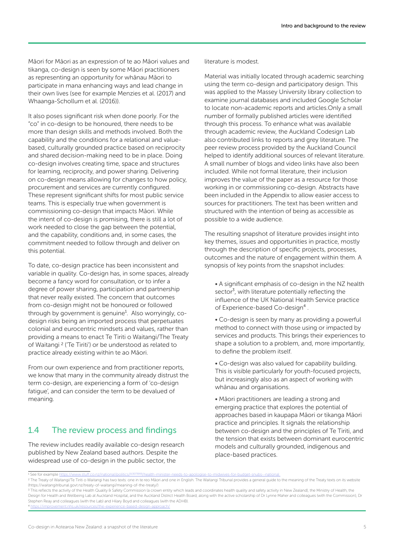Māori for Māori as an expression of te ao Māori values and tikanga, co-design is seen by some Māori practitioners as representing an opportunity for whānau Māori to participate in mana enhancing ways and lead change in their own lives (see for example Menzies et al. (2017) and Whaanga-Schollum et al. (2016)).

It also poses significant risk when done poorly. For the "co" in co-design to be honoured, there needs to be more than design skills and methods involved. Both the capability and the conditions for a relational and valuebased, culturally grounded practice based on reciprocity and shared decision-making need to be in place. Doing co-design involves creating time, space and structures for learning, reciprocity, and power sharing. Delivering on co-design means allowing for changes to how policy, procurement and services are currently configured. These represent significant shifts for most public service teams. This is especially true when government is commissioning co-design that impacts Māori. While the intent of co-design is promising, there is still a lot of work needed to close the gap between the potential, and the capability, conditions and, in some cases, the commitment needed to follow through and deliver on this potential.

To date, co-design practice has been inconsistent and variable in quality. Co-design has, in some spaces, already become a fancy word for consultation, or to infer a degree of power sharing, participation and partnership that never really existed. The concern that outcomes from co-design might not be honoured or followed through by government is genuine<sup>1</sup>. Also worryingly, codesign risks being an imported process that perpetuates colonial and eurocentric mindsets and values, rather than providing a means to enact Te Tiriti o Waitangi/The Treaty of Waitangi 2 ('Te Tiriti') or be understood as related to practice already existing within te ao Māori.

From our own experience and from practitioner reports, we know that many in the community already distrust the term co-design, are experiencing a form of 'co-design fatigue', and can consider the term to be devalued of meaning.

### 1.4 The review process and findings

The review includes readily available co-design research published by New Zealand based authors. Despite the widespread use of co-design in the public sector, the

literature is modest.

Material was initially located through academic searching using the term co-design and participatory design. This was applied to the Massey University library collection to examine journal databases and included Google Scholar to locate non-academic reports and articles.Only a small number of formally published articles were identified through this process. To enhance what was available through academic review, the Auckland Codesign Lab also contributed links to reports and grey literature. The peer review process provided by the Auckland Council helped to identify additional sources of relevant literature. A small number of blogs and video links have also been included. While not formal literature, their inclusion improves the value of the paper as a resource for those working in or commissioning co-design. Abstracts have been included in the Appendix to allow easier access to sources for practitioners. The text has been written and structured with the intention of being as accessible as possible to a wide audience.

The resulting snapshot of literature provides insight into key themes, issues and opportunities in practice, mostly through the description of specific projects, processes, outcomes and the nature of engagement within them. A synopsis of key points from the snapshot includes:

- A significant emphasis of co-design in the NZ health sector $3$ , with literature potentially reflecting the influence of the UK National Health Service practice of Experience-based Co-design<sup>4</sup>.
- Co-design is seen by many as providing a powerful method to connect with those using or impacted by services and products. This brings their experiences to shape a solution to a problem, and, more importantly, to define the problem itself.
- Co-design was also valued for capability building. This is visible particularly for youth-focused projects, but increasingly also as an aspect of working with whānau and organisations.
- Māori practitioners are leading a strong and emerging practice that explores the potential of approaches based in kaupapa Māori or tikanga Māori practice and principles. It signals the relationship between co-design and the principles of Te Tiriti, and the tension that exists between dominant eurocentric models and culturally grounded, indigenous and place-based practices.

<sup>1</sup> See for example https:/

<sup>&</sup>lt;sup>2</sup> The Treaty of Waitangi/Te Tiriti o Waitangi has two texts: one in te reo Māori and one in English. The Waitangi Tribunal provides a general guide to the meaning of the Treaty texts on its website (https://waitangitribunal.govt.nz/treaty-of-waitangi/meaning-of-the-treaty/)

<sup>&</sup>lt;sup>3</sup> This reflects the activity of the Health Quality & Safety Commission (a crown entity which leads and coordinates health quality and safety activity in New Zealand), the Ministry of Health, the Design for Health and Wellbeing Lab at Auckland Hospital, and the Auckland District Health Board, along with the active scholarship of Dr Lynne Maher and colleagues (with the Commission), Dr Stephen Reay and colleagues (with the Lab) and Hilary Boyd and colleagues (with the ADHB). 4 https://improvement.nhs.uk/resources/the-experie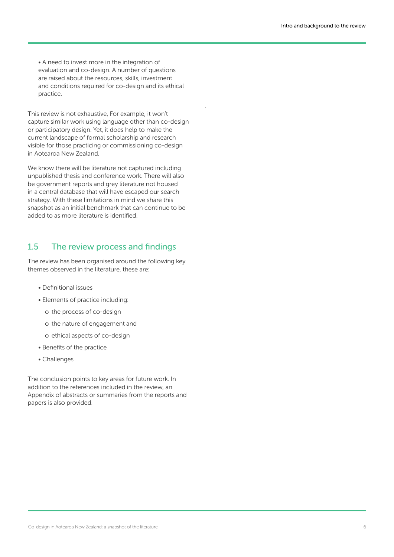• A need to invest more in the integration of evaluation and co-design. A number of questions are raised about the resources, skills, investment and conditions required for co-design and its ethical practice.

.

This review is not exhaustive, For example, it won't capture similar work using language other than co-design or participatory design. Yet, it does help to make the current landscape of formal scholarship and research visible for those practicing or commissioning co-design in Aotearoa New Zealand.

We know there will be literature not captured including unpublished thesis and conference work. There will also be government reports and grey literature not housed in a central database that will have escaped our search strategy. With these limitations in mind we share this snapshot as an initial benchmark that can continue to be added to as more literature is identified.

### 1.5 The review process and findings

The review has been organised around the following key themes observed in the literature, these are:

- Definitional issues
- Elements of practice including:
	- o the process of co-design
	- o the nature of engagement and
	- o ethical aspects of co-design
- Benefits of the practice
- Challenges

The conclusion points to key areas for future work. In addition to the references included in the review, an Appendix of abstracts or summaries from the reports and papers is also provided.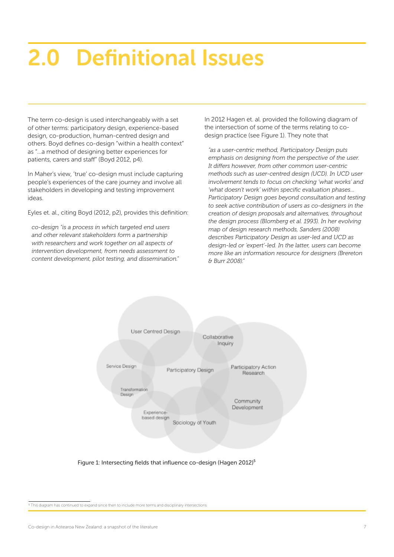# 2.0 Definitional Issues

The term co-design is used interchangeably with a set of other terms: participatory design, experience-based design, co-production, human-centred design and others. Boyd defines co-design "within a health context" as "…a method of designing better experiences for patients, carers and staff" (Boyd 2012, p4).

In Maher's view, 'true' co-design must include capturing people's experiences of the care journey and involve all stakeholders in developing and testing improvement ideas.

Eyles et. al., citing Boyd (2012, p2), provides this definition:

*co-design "is a process in which targeted end users and other relevant stakeholders form a partnership with researchers and work together on all aspects of intervention development, from needs assessment to content development, pilot testing, and dissemination."* In 2012 Hagen et. al. provided the following diagram of the intersection of some of the terms relating to codesign practice (see Figure 1). They note that

*"as a user-centric method, Participatory Design puts emphasis on designing from the perspective of the user. It differs however, from other common user-centric methods such as user-centred design (UCD). In UCD user involvement tends to focus on checking 'what works' and 'what doesn't work' within specific evaluation phases… Participatory Design goes beyond consultation and testing to seek active contribution of users as co-designers in the creation of design proposals and alternatives, throughout the design process (Blomberg et al. 1993). In her evolving map of design research methods, Sanders (2008) describes Participatory Design as user-led and UCD as design-led or 'expert'-led. In the latter, users can become more like an information resource for designers (Brereton & Burr 2008)."*

![](_page_6_Figure_7.jpeg)

Figure 1: Intersecting fields that influence co-design (Hagen 2012)<sup>5</sup>

5 This diagram has continued to expand since then to include more terms and disciplinary intersections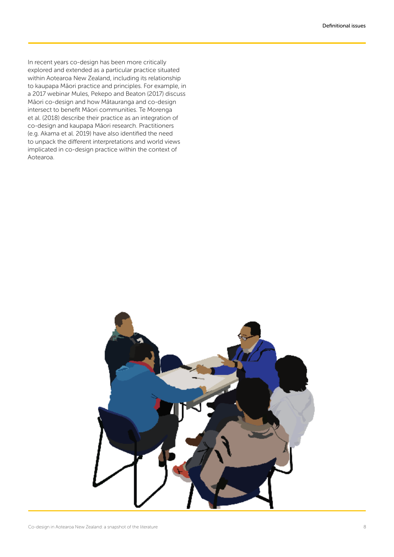In recent years co-design has been more critically explored and extended as a particular practice situated within Aotearoa New Zealand, including its relationship to kaupapa Māori practice and principles. For example, in a 2017 webinar Mules, Pekepo and Beaton (2017) discuss Māori co-design and how Mātauranga and co-design intersect to benefit Māori communities. Te Morenga et al. (2018) describe their practice as an integration of co-design and kaupapa Māori research. Practitioners (e.g. Akama et al. 2019) have also identified the need to unpack the different interpretations and world views implicated in co-design practice within the context of Aotearoa.

![](_page_7_Picture_2.jpeg)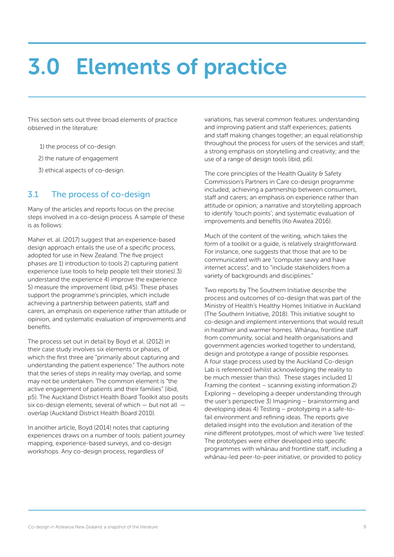# 3.0 Elements of practice

This section sets out three broad elements of practice observed in the literature:

- 1) the process of co-design
- 2) the nature of engagement
- 3) ethical aspects of co-design.

### 3.1 The process of co-design

Many of the articles and reports focus on the precise steps involved in a co-design process. A sample of these is as follows:

Maher et. al. (2017) suggest that an experience-based design approach entails the use of a specific process, adopted for use in New Zealand. The five project phases are 1) introduction to tools 2) capturing patient experience (use tools to help people tell their stories) 3) understand the experience 4) improve the experience 5) measure the improvement (ibid, p45). These phases support the programme's principles, which include achieving a partnership between patients, staff and carers, an emphasis on experience rather than attitude or opinion, and systematic evaluation of improvements and benefits.

The process set out in detail by Boyd et al. (2012) in their case study involves six elements or phases, of which the first three are "primarily about capturing and understanding the patient experience." The authors note that the series of steps in reality may overlap, and some may not be undertaken. The common element is "the active engagement of patients and their families" (ibid, p5). The Auckland District Health Board Toolkit also posits six co-design elements, several of which  $-$  but not all  $$ overlap (Auckland District Health Board 2010).

In another article, Boyd (2014) notes that capturing experiences draws on a number of tools: patient journey mapping, experience-based surveys, and co-design workshops. Any co-design process, regardless of

variations, has several common features: understanding and improving patient and staff experiences; patients and staff making changes together; an equal relationship throughout the process for users of the services and staff; a strong emphasis on storytelling and creativity; and the use of a range of design tools (ibid, p6).

The core principles of the Health Quality & Safety Commission's Partners in Care co-design programme included; achieving a partnership between consumers, staff and carers; an emphasis on experience rather than attitude or opinion; a narrative and storytelling approach to identify 'touch points'; and systematic evaluation of improvements and benefits (Ko Awatea 2016).

Much of the content of the writing, which takes the form of a toolkit or a guide, is relatively straightforward. For instance, one suggests that those that are to be communicated with are "computer savvy and have internet access", and to "include stakeholders from a variety of backgrounds and disciplines."

Two reports by The Southern Initiative describe the process and outcomes of co-design that was part of the Ministry of Health's Healthy Homes Initiative in Auckland (The Southern Initiative, 2018). This initiative sought to co-design and implement interventions that would result in healthier and warmer homes. Whānau, frontline staff from community, social and health organisations and government agencies worked together to understand, design and prototype a range of possible responses. A four stage process used by the Auckland Co-design Lab is referenced (whilst acknowledging the reality to be much messier than this). These stages included 1) Framing the context – scanning existing information 2) Exploring – developing a deeper understanding through the user's perspective 3) Imagining – brainstorming and developing ideas 4) Testing – prototyping in a safe-tofail environment and refining ideas. The reports give detailed insight into the evolution and iteration of the nine different prototypes, most of which were 'live tested'. The prototypes were either developed into specific programmes with whānau and frontline staff, including a whānau-led peer-to-peer initiative, or provided to policy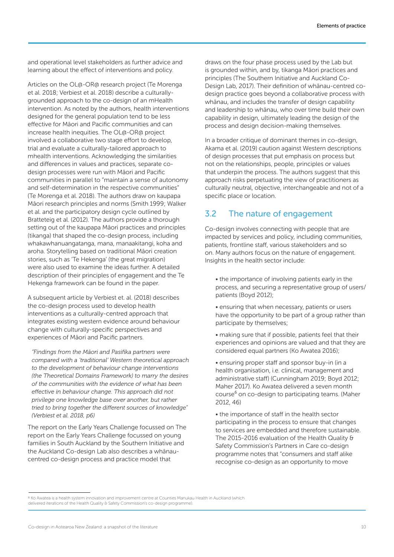and operational level stakeholders as further advice and learning about the effect of interventions and policy.

Articles on the OL@-OR@ research project (Te Morenga et al. 2018; Verbiest et al. 2018) describe a culturallygrounded approach to the co-design of an mHealth intervention. As noted by the authors, health interventions designed for the general population tend to be less effective for Māori and Pacific communities and can increase health inequities. The OL@-OR@ project involved a collaborative two stage effort to develop, trial and evaluate a culturally-tailored approach to mhealth interventions. Acknowledging the similarities and differences in values and practices, separate codesign processes were run with Māori and Pacific communities in parallel to "maintain a sense of autonomy and self-determination in the respective communities" (Te Morenga et al. 2018). The authors draw on kaupapa Māori research principles and norms (Smith 1999; Walker et al. and the participatory design cycle outlined by Bratteteig et al. (2012). The authors provide a thorough setting out of the kaupapa Māori practices and principles (tikanga) that shaped the co-design process, including whakawhanuangatanga, mana, manaakitangi, koha and aroha. Storytelling based on traditional Māori creation stories, such as 'Te Hekenga' (the great migration) were also used to examine the ideas further. A detailed description of their principles of engagement and the Te Hekenga framework can be found in the paper.

A subsequent article by Verbiest et. al. (2018) describes the co-design process used to develop health interventions as a culturally-centred approach that integrates existing western evidence around behaviour change with culturally-specific perspectives and experiences of Māori and Pacific partners.

*"Findings from the Māori and Pasifika partners were compared with a 'traditional' Western theoretical approach to the development of behaviour change interventions (the Theoretical Domains Framework) to marry the desires of the communities with the evidence of what has been effective in behaviour change. This approach did not privilege one knowledge base over another, but rather tried to bring together the different sources of knowledge" (Verbiest et al. 2018, p6)*

The report on the Early Years Challenge focussed on The report on the Early Years Challenge focussed on young families in South Auckland by the Southern Initiative and the Auckland Co-design Lab also describes a whānaucentred co-design process and practice model that

draws on the four phase process used by the Lab but is grounded within, and by, tikanga Māori practices and principles (The Southern Initiative and Auckland Co-Design Lab, 2017). Their definition of whānau-centred codesign practice goes beyond a collaborative process with whānau, and includes the transfer of design capability and leadership to whānau, who over time build their own capability in design, ultimately leading the design of the process and design decision-making themselves.

In a broader critique of dominant themes in co-design, Akama et al. (2019) caution against Western descriptions of design processes that put emphasis on process but not on the relationships, people, principles or values that underpin the process. The authors suggest that this approach risks perpetuating the view of practitioners as culturally neutral, objective, interchangeable and not of a specific place or location.

## 3.2 The nature of engagement

Co-design involves connecting with people that are impacted by services and policy, including communities, patients, frontline staff, various stakeholders and so on. Many authors focus on the nature of engagement. Insights in the health sector include:

- the importance of involving patients early in the process, and securing a representative group of users/ patients (Boyd 2012);
- ensuring that when necessary, patients or users have the opportunity to be part of a group rather than participate by themselves;
- making sure that if possible, patients feel that their experiences and opinions are valued and that they are considered equal partners (Ko Awatea 2016);
- ensuring proper staff and sponsor buy-in (in a health organisation, i.e. clinical, management and administrative staff) (Cunningham 2019; Boyd 2012; Maher 2017). Ko Awatea delivered a seven month course<sup>6</sup> on co-design to participating teams. (Maher 2012, 46)

• the importance of staff in the health sector participating in the process to ensure that changes to services are embedded and therefore sustainable. The 2015-2016 evaluation of the Health Quality & Safety Commission's Partners in Care co-design programme notes that "consumers and staff alike recognise co-design as an opportunity to move

<sup>6</sup> Ko Awatea is a health system innovation and improvement centre at Counties Manukau Health in Auckland (which delivered iterations of the Health Quality & Safety Commission's co-design programme).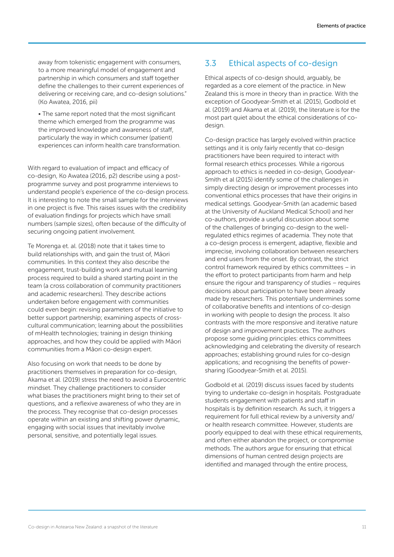away from tokenistic engagement with consumers, to a more meaningful model of engagement and partnership in which consumers and staff together define the challenges to their current experiences of delivering or receiving care, and co-design solutions." (Ko Awatea, 2016, pii)

• The same report noted that the most significant theme which emerged from the programme was the improved knowledge and awareness of staff, particularly the way in which consumer (patient) experiences can inform health care transformation.

With regard to evaluation of impact and efficacy of co-design, Ko Awatea (2016, p2) describe using a postprogramme survey and post programme interviews to understand people's experience of the co-design process. It is interesting to note the small sample for the interviews in one project is five. This raises issues with the credibility of evaluation findings for projects which have small numbers (sample sizes), often because of the difficulty of securing ongoing patient involvement.

Te Morenga et. al. (2018) note that it takes time to build relationships with, and gain the trust of, Māori communities. In this context they also describe the engagement, trust-building work and mutual learning process required to build a shared starting point in the team (a cross collaboration of community practitioners and academic researchers). They describe actions undertaken before engagement with communities could even begin: revising parameters of the initiative to better support partnership; examining aspects of crosscultural communication; learning about the possibilities of mHealth technologies; training in design thinking approaches, and how they could be applied with Māori communities from a Māori co-design expert.

Also focusing on work that needs to be done by practitioners themselves in preparation for co-design, Akama et al. (2019) stress the need to avoid a Eurocentric mindset. They challenge practitioners to consider what biases the practitioners might bring to their set of questions, and a reflexive awareness of who they are in the process. They recognise that co-design processes operate within an existing and shifting power dynamic, engaging with social issues that inevitably involve personal, sensitive, and potentially legal issues.

## 3.3 Ethical aspects of co-design

Ethical aspects of co-design should, arguably, be regarded as a core element of the practice. in New Zealand this is more in theory than in practice. With the exception of Goodyear-Smith et al. (2015), Godbold et al. (2019) and Akama et al. (2019), the literature is for the most part quiet about the ethical considerations of codesign.

Co-design practice has largely evolved within practice settings and it is only fairly recently that co-design practitioners have been required to interact with formal research ethics processes. While a rigorous approach to ethics is needed in co-design, Goodyear-Smith et al (2015) identify some of the challenges in simply directing design or improvement processes into conventional ethics processes that have their origins in medical settings. Goodyear-Smith (an academic based at the University of Auckland Medical School) and her co-authors, provide a useful discussion about some of the challenges of bringing co-design to the wellregulated ethics regimes of academia. They note that a co-design process is emergent, adaptive, flexible and imprecise, involving collaboration between researchers and end users from the onset. By contrast, the strict control framework required by ethics committees – in the effort to protect participants from harm and help ensure the rigour and transparency of studies – requires decisions about participation to have been already made by researchers. This potentially undermines some of collaborative benefits and intentions of co-design in working with people to design the process. It also contrasts with the more responsive and iterative nature of design and improvement practices. The authors propose some guiding principles: ethics committees acknowledging and celebrating the diversity of research approaches; establishing ground rules for co-design applications; and recognising the benefits of powersharing (Goodyear-Smith et al. 2015).

Godbold et al. (2019) discuss issues faced by students trying to undertake co-design in hospitals. Postgraduate students engagement with patients and staff in hospitals is by definition research. As such, it triggers a requirement for full ethical review by a university and/ or health research committee. However, students are poorly equipped to deal with these ethical requirements, and often either abandon the project, or compromise methods. The authors argue for ensuring that ethical dimensions of human centred design projects are identified and managed through the entire process,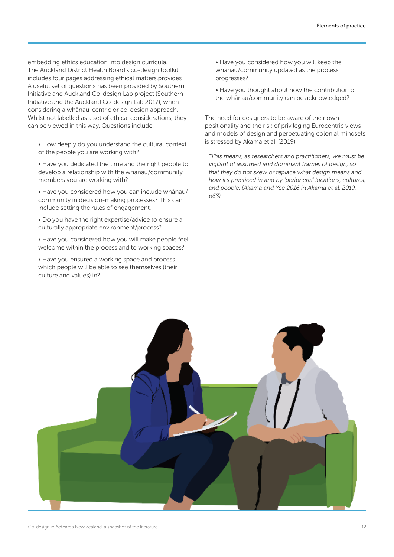embedding ethics education into design curricula. The Auckland District Health Board's co-design toolkit includes four pages addressing ethical matters.provides A useful set of questions has been provided by Southern Initiative and Auckland Co-design Lab project (Southern Initiative and the Auckland Co-design Lab 2017), when considering a whānau-centric or co-design approach. Whilst not labelled as a set of ethical considerations, they can be viewed in this way. Questions include:

- How deeply do you understand the cultural context of the people you are working with?
- Have you dedicated the time and the right people to develop a relationship with the whānau/community members you are working with?

• Have you considered how you can include whānau/ community in decision-making processes? This can include setting the rules of engagement.

• Do you have the right expertise/advice to ensure a culturally appropriate environment/process?

• Have you considered how you will make people feel welcome within the process and to working spaces?

• Have you ensured a working space and process which people will be able to see themselves (their culture and values) in?

- Have you considered how you will keep the whānau/community updated as the process progresses?
- Have you thought about how the contribution of the whānau/community can be acknowledged?

The need for designers to be aware of their own positionality and the risk of privileging Eurocentric views and models of design and perpetuating colonial mindsets is stressed by Akama et al. (2019).

*"This means, as researchers and practitioners, we must be vigilant of assumed and dominant frames of design, so that they do not skew or replace what design means and how it's practiced in and by 'peripheral' locations, cultures, and people. (Akama and Yee 2016 in Akama et al. 2019, p63).*

![](_page_11_Picture_12.jpeg)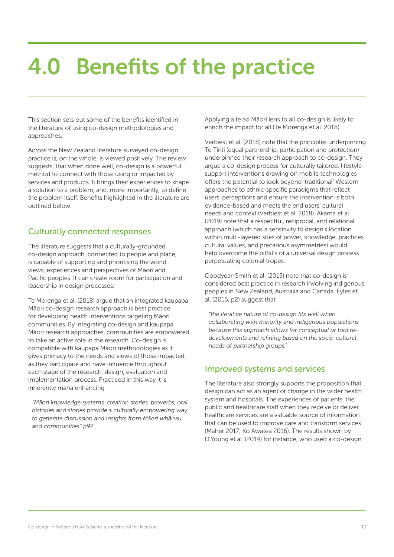# 4.0 Benefits of the practice

This section sets out some of the benefits identified in the literature of using co-design methodologies and approaches.

Across the New Zealand literature surveyed co-design practice is, on the whole, is viewed positively. The review suggests, that when done well, co-design is a powerful method to connect with those using or impacted by services and products. It brings their experiences to shape a solution to a problem, and, more importantly, to define the problem itself. Benefits highlighted in the literature are outlined below.

## Culturally connected responses

The literature suggests that a culturally-grounded co-design approach, connected to people and place, is capable of supporting and prioritising the world views, experiences and perspectives of Māori and Pacific peoples. It can create room for participation and leadership in design processes.

Te Morenga et al. (2018) argue that an integrated kaupapa Māori co-design research approach is best practice for developing health interventions targeting Māori communities. By integrating co-design and kaupapa Māori research approaches, communities are empowered to take an active role in the research. Co-design is compatible with kaupapa Māori methodologies as it gives primacy to the needs and views of those impacted, as they participate and have influence throughout each stage of the research, design, evaluation and implementation process. Practiced in this way it is inherently mana enhancing

*"Māori knowledge systems, creation stories, proverbs, oral histories and stories provide a culturally empowering way to generate discussion and insights from Māori whānau and communities." p97*

Applying a te ao Māori lens to all co-design is likely to enrich the impact for all (Te Morenga et al. 2018).

Verbiest et al. (2018) note that the principles underpinning Te Tiriti (equal partnership, participation and protection) underpinned their research approach to co-design. They argue a co-design process for culturally tailored, lifestyle support interventions drawing on mobile technologies offers the potential to look beyond 'traditional' Western approaches to ethnic-specific paradigms that reflect users' perceptions and ensure the intervention is both evidence-based and meets the end users' cultural needs and context (Verbiest et al. 2018). Akama et al. (2019) note that a respectful, reciprocal, and relational approach (which has a sensitivity to design's location within multi-layered sites of power, knowledge, practices, cultural values, and precarious asymmetries) would help overcome the pitfalls of a universal design process perpetuating colonial tropes.

Goodyear-Smith et al. (2015) note that co-design is considered best practice in research involving indigenous peoples in New Zealand, Australia and Canada. Eyles et. al. (2016, p2) suggest that

*"the iterative nature of co-design fits well when collaborating with minority and indigenous populations because this approach allows for conceptual or tool redevelopments and refining based on the socio-cultural needs of partnership groups."*

### Improved systems and services

The literature also strongly supports the proposition that design can act as an agent of change in the wider health system and hospitals. The experiences of patients, the public and healthcare staff when they receive or deliver healthcare services are a valuable source of information that can be used to improve care and transform services (Maher 2017; Ko Awatea 2016). The results shown by D'Young et al. (2014) for instance, who used a co-design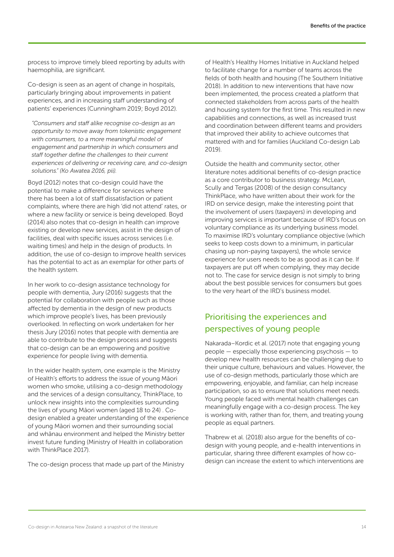process to improve timely bleed reporting by adults with haemophilia, are significant.

Co-design is seen as an agent of change in hospitals, particularly bringing about improvements in patient experiences, and in increasing staff understanding of patients' experiences (Cunningham 2019; Boyd 2012).

*"Consumers and staff alike recognise co-design as an opportunity to move away from tokenistic engagement with consumers, to a more meaningful model of engagement and partnership in which consumers and staff together define the challenges to their current experiences of delivering or receiving care, and co-design solutions." (Ko Awatea 2016, pii).* 

Boyd (2012) notes that co-design could have the potential to make a difference for services where there has been a lot of staff dissatisfaction or patient complaints, where there are high 'did not attend' rates, or where a new facility or service is being developed. Boyd (2014) also notes that co-design in health can improve existing or develop new services, assist in the design of facilities, deal with specific issues across services (i.e. waiting times) and help in the design of products. In addition, the use of co-design to improve health services has the potential to act as an exemplar for other parts of the health system.

In her work to co-design assistance technology for people with dementia, Jury (2016) suggests that the potential for collaboration with people such as those affected by dementia in the design of new products which improve people's lives, has been previously overlooked. In reflecting on work undertaken for her thesis Jury (2016) notes that people with dementia are able to contribute to the design process and suggests that co-design can be an empowering and positive experience for people living with dementia.

In the wider health system, one example is the Ministry of Health's efforts to address the issue of young Māori women who smoke, utilising a co-design methodology and the services of a design consultancy, ThinkPlace, to unlock new insights into the complexities surrounding the lives of young Māori women (aged 18 to 24) . Codesign enabled a greater understanding of the experience of young Māori women and their surrounding social and whānau environment and helped the Ministry better invest future funding (Ministry of Health in collaboration with ThinkPlace 2017).

The co-design process that made up part of the Ministry

of Health's Healthy Homes Initiative in Auckland helped to facilitate change for a number of teams across the fields of both health and housing (The Southern Initiative 2018). In addition to new interventions that have now been implemented, the process created a platform that connected stakeholders from across parts of the health and housing system for the first time. This resulted in new capabilities and connections, as well as increased trust and coordination between different teams and providers that improved their ability to achieve outcomes that mattered with and for families (Auckland Co-design Lab 2019).

Outside the health and community sector, other literature notes additional benefits of co-design practice as a core contributor to business strategy. McLean, Scully and Tergas (2008) of the design consultancy ThinkPlace, who have written about their work for the IRD on service design, make the interesting point that the involvement of users (taxpayers) in developing and improving services is important because of IRD's focus on voluntary compliance as its underlying business model. To maximise IRD's voluntary compliance objective (which seeks to keep costs down to a minimum, in particular chasing up non-paying taxpayers), the whole service experience for users needs to be as good as it can be. If taxpayers are put off when complying, they may decide not to. The case for service design is not simply to bring about the best possible services for consumers but goes to the very heart of the IRD's business model.

## Prioritising the experiences and perspectives of young people

Nakarada–Kordic et al. (2017) note that engaging young people — especially those experiencing psychosis — to develop new health resources can be challenging due to their unique culture, behaviours and values. However, the use of co-design methods, particularly those which are empowering, enjoyable, and familiar, can help increase participation, so as to ensure that solutions meet needs. Young people faced with mental health challenges can meaningfully engage with a co-design process. The key is working with, rather than for, them, and treating young people as equal partners.

Thabrew et al. (2018) also argue for the benefits of codesign with young people, and e-health interventions in particular, sharing three different examples of how codesign can increase the extent to which interventions are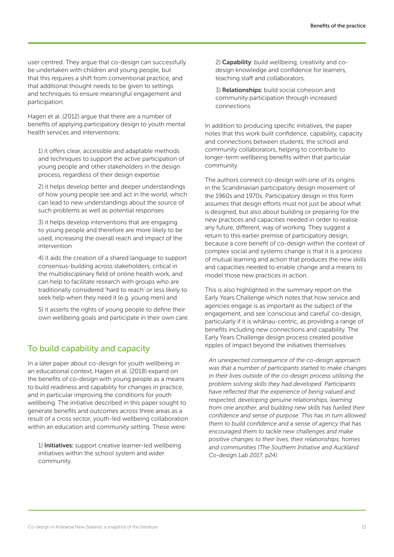user centred. They argue that co-design can successfully be undertaken with children and young people, but that this requires a shift from conventional practice, and that additional thought needs to be given to settings and techniques to ensure meaningful engagement and participation.

Hagen et al. (2012) argue that there are a number of benefits of applying participatory design to youth mental health services and interventions:

1) it offers clear, accessible and adaptable methods and techniques to support the active participation of young people and other stakeholders in the design process, regardless of their design expertise

2) it helps develop better and deeper understandings of how young people see and act in the world, which can lead to new understandings about the source of such problems as well as potential responses

3) it helps develop interventions that are engaging to young people and therefore are more likely to be used, increasing the overall reach and impact of the intervention

4) it aids the creation of a shared language to support consensus-building across stakeholders, critical in the multidisciplinary field of online health work, and can help to facilitate research with groups who are traditionally considered 'hard to reach' or less likely to seek help when they need it (e.g. young men) and

5) it asserts the rights of young people to define their own wellbeing goals and participate in their own care.

### To build capability and capacity

In a later paper about co-design for youth wellbeing in an educational context, Hagen et al. (2018) expand on the benefits of co-design with young people as a means to build readiness and capability for changes in practice, and in particular improving the conditions for youth wellbeing. The initiative described in this paper sought to generate benefits and outcomes across three areas as a result of a cross sector, youth-led wellbeing collaboration within an education and community setting. These were:

1) Initiatives: support creative learner-led wellbeing initiatives within the school system and wider community.

2) Capability: build wellbeing, creativity and codesign knowledge and confidence for learners, teaching staff and collaborators.

3) Relationships: build social cohesion and community participation through increased connections

In addition to producing specific initiatives, the paper notes that this work built confidence, capability, capacity and connections between students, the school and community collaborators, helping to contribute to longer-term wellbeing benefits within that particular community.

The authors connect co-design with one of its origins in the Scandinavian participatory design movement of the 1960s and 1970s. Participatory design in this form assumes that design efforts must not just be about what is designed, but also about building or preparing for the new practices and capacities needed in order to realise any future, different, way of working. They suggest a return to this earlier premise of participatory design, because a core benefit of co-design within the context of complex social and systems change is that it is a process of mutual learning and action that produces the new skills and capacities needed to enable change and a means to model those new practices in action.

This is also highlighted in the summary report on the Early Years Challenge which notes that how service and agencies engage is as important as the subject of the engagement, and see 'conscious and careful' co-design, particularly if it is whānau-centric, as providing a range of benefits including new connections and capability. The Early Years Challenge design process created positive ripples of impact beyond the initiatives themselves:

*An unexpected consequence of the co-design approach was that a number of participants started to make changes in their lives outside of the co-design process utilising the problem solving skills they had developed. Participants have reflected that the experience of being valued and respected, developing genuine relationships, learning from one another, and building new skills has fuelled their confidence and sense of purpose. This has in turn allowed them to build confidence and a sense of agency that has encouraged them to tackle new challenges and make positive changes to their lives, their relationships, homes and communities (The Southern Initiative and Auckland Co-design Lab 2017, p24).*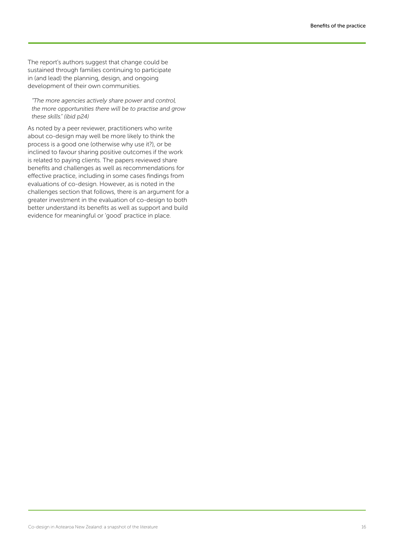The report's authors suggest that change could be sustained through families continuing to participate in (and lead) the planning, design, and ongoing development of their own communities.

*"The more agencies actively share power and control, the more opportunities there will be to practise and grow these skills." (ibid p24)*

As noted by a peer reviewer, practitioners who write about co-design may well be more likely to think the process is a good one (otherwise why use it?), or be inclined to favour sharing positive outcomes if the work is related to paying clients. The papers reviewed share benefits and challenges as well as recommendations for effective practice, including in some cases findings from evaluations of co-design. However, as is noted in the challenges section that follows, there is an argument for a greater investment in the evaluation of co-design to both better understand its benefits as well as support and build evidence for meaningful or 'good' practice in place.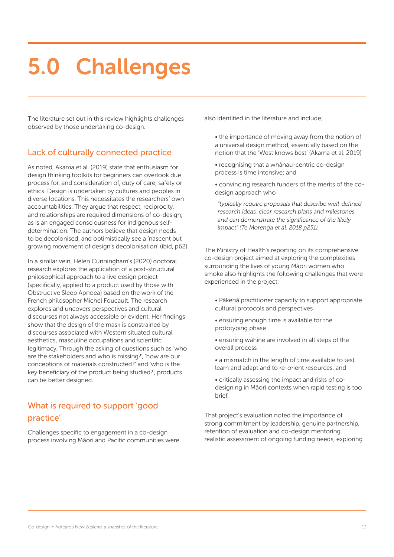# 5.0 Challenges

The literature set out in this review highlights challenges observed by those undertaking co-design.

## Lack of culturally connected practice

As noted, Akama et al. (2019) state that enthusiasm for design thinking toolkits for beginners can overlook due process for, and consideration of, duty of care, safety or ethics. Design is undertaken by cultures and peoples in diverse locations. This necessitates the researchers' own accountabilities. They argue that respect, reciprocity, and relationships are required dimensions of co-design, as is an engaged consciousness for indigenous selfdetermination. The authors believe that design needs to be decolonised, and optimistically see a 'nascent but growing movement of design's decolonisation' (ibid, p62).

In a similar vein, Helen Cunningham's (2020) doctoral research explores the application of a post-structural philosophical approach to a live design project (specifically, applied to a product used by those with Obstructive Sleep Apnoea) based on the work of the French philosopher Michel Foucault. The research explores and uncovers perspectives and cultural discourses not always accessible or evident. Her findings show that the design of the mask is constrained by discourses associated with Western situated cultural aesthetics, masculine occupations and scientific legitimacy. Through the asking of questions such as 'who are the stakeholders and who is missing?', 'how are our conceptions of materials constructed?' and 'who is the key beneficiary of the product being studied?', products can be better designed.

# What is required to support 'good practice'

Challenges specific to engagement in a co-design process involving Māori and Pacific communities were also identified in the literature and include;

- the importance of moving away from the notion of a universal design method, essentially based on the notion that the 'West knows best' (Akama et al. 2019)
- recognising that a whānau-centric co-design process is time intensive; and
- convincing research funders of the merits of the codesign approach who

*"typically require proposals that describe well-defined research ideas, clear research plans and milestones and can demonstrate the significance of the likely impact" (Te Morenga et al. 2018 p251).*

The Ministry of Health's reporting on its comprehensive co-design project aimed at exploring the complexities surrounding the lives of young Māori women who smoke also highlights the following challenges that were experienced in the project:

- Pākehā practitioner capacity to support appropriate cultural protocols and perspectives
- ensuring enough time is available for the prototyping phase
- ensuring wāhine are involved in all steps of the overall process
- a mismatch in the length of time available to test, learn and adapt and to re-orient resources, and
- critically assessing the impact and risks of codesigning in Māori contexts when rapid testing is too brief.

That project's evaluation noted the importance of strong commitment by leadership, genuine partnership, retention of evaluation and co-design mentoring, realistic assessment of ongoing funding needs, exploring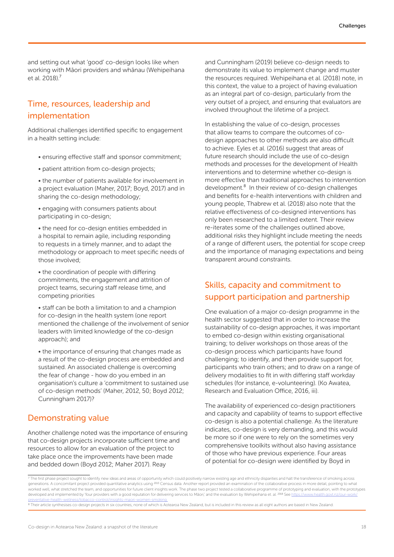and setting out what 'good' co-design looks like when working with Māori providers and whānau (Wehipeihana et al.  $2018$ <sup>7</sup>

## Time, resources, leadership and implementation

Additional challenges identified specific to engagement in a health setting include:

- ensuring effective staff and sponsor commitment;
- patient attrition from co-design projects;

• the number of patients available for involvement in a project evaluation (Maher, 2017; Boyd, 2017) and in sharing the co-design methodology;

• engaging with consumers patients about participating in co-design;

• the need for co-design entities embedded in a hospital to remain agile, including responding to requests in a timely manner, and to adapt the methodology or approach to meet specific needs of those involved;

• the coordination of people with differing commitments, the engagement and attrition of project teams, securing staff release time, and competing priorities

• staff can be both a limitation to and a champion for co-design in the health system (one report mentioned the challenge of the involvement of senior leaders with limited knowledge of the co-design approach); and

• the importance of ensuring that changes made as a result of the co-design process are embedded and sustained. An associated challenge is overcoming the fear of change - how do you embed in an organisation's culture a 'commitment to sustained use of co-design methods' (Maher, 2012, 50; Boyd 2012; Cunningham 2017)?

### Demonstrating value

Another challenge noted was the importance of ensuring that co-design projects incorporate sufficient time and resources to allow for an evaluation of the project to take place once the improvements have been made and bedded down (Boyd 2012; Maher 2017). Reay

and Cunningham (2019) believe co-design needs to demonstrate its value to implement change and muster the resources required. Wehipeihana et al. (2018) note, in this context, the value to a project of having evaluation as an integral part of co-design, particularly from the very outset of a project, and ensuring that evaluators are involved throughout the lifetime of a project.

In establishing the value of co-design, processes that allow teams to compare the outcomes of codesign approaches to other methods are also difficult to achieve. Eyles et al. (2016) suggest that areas of future research should include the use of co-design methods and processes for the development of Health interventions and to determine whether co-design is more effective than traditional approaches to intervention development.<sup>8</sup> In their review of co-design challenges and benefits for e-health interventions with children and young people, Thabrew et al. (2018) also note that the relative effectiveness of co-designed interventions has only been researched to a limited extent. Their review re-iterates some of the challenges outlined above, additional risks they highlight include meeting the needs of a range of different users, the potential for scope creep and the importance of managing expectations and being transparent around constraints.

## Skills, capacity and commitment to support participation and partnership

One evaluation of a major co-design programme in the health sector suggested that in order to increase the sustainability of co-design approaches, it was important to embed co-design within existing organisational training; to deliver workshops on those areas of the co-design process which participants have found challenging; to identify, and then provide support for, participants who train others; and to draw on a range of delivery modalities to fit in with differing staff workday schedules (for instance, e-volunteering). (Ko Awatea, Research and Evaluation Office, 2016, iii).

The availability of experienced co-design practitioners and capacity and capability of teams to support effective co-design is also a potential challenge. As the literature indicates, co-design is very demanding, and this would be more so if one were to rely on the sometimes very comprehensive toolkits without also having assistance of those who have previous experience. Four areas of potential for co-design were identified by Boyd in

<sup>7</sup> The first phase project sought to identify new ideas and areas of opportunity which could positively narrow existing age and ethnicity disparities and halt the transference of smoking across generations. A concomitant project provided quantitative analytics using <sup>2013</sup> Census data. Another report provided an examination of the collaborative process in more detail, pointing to what worked well, what stretched the team, and opportunities for future client insights work. The phase two project tested a collaborative programme of prototyping and evaluation, with the prototypes developed and implemented by 'four providers with a good reputation for delivering services to Māori,' and the evaluation by Wehipeihana et. al. <sup>2018</sup> See https:// [preventative-health-wellness/tobacco-control/insights-maori-women-smoking](https://www.health.govt.nz/our-work/preventative-health-wellness/tobacco-control/insights-maori-women-smoking)

<sup>8</sup> Their article synthesises co-design projects in six countries, none of which is Aotearoa New Zealand, but is included in this review as all eight authors are based in New Zealand.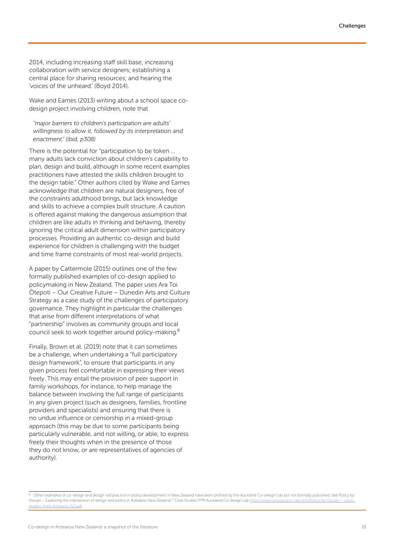2014, including increasing staff skill base; increasing collaboration with service designers; establishing a central place for sharing resources; and hearing the 'voices of the unheard.' (Boyd 2014).

Wake and Eames (2013) writing about a school space codesign project involving children, note that

*"major barriers to children's participation are adults' willingness to allow it, followed by its interpretation and enactment." (ibid, p308)*

There is the potential for "participation to be token … many adults lack conviction about children's capability to plan, design and build, although in some recent examples practitioners have attested the skills children brought to the design table." Other authors cited by Wake and Eames acknowledge that children are natural designers, free of the constraints adulthood brings, but lack knowledge and skills to achieve a complex built structure. A caution is offered against making the dangerous assumption that children are like adults in thinking and behaving, thereby ignoring the critical adult dimension within participatory processes. Providing an authentic co-design and build experience for children is challenging with the budget and time frame constraints of most real-world projects.

A paper by Cattermole (2015) outlines one of the few formally published examples of co-design applied to policymaking in New Zealand. The paper uses Ara Toi Ōtepoti – Our Creative Future – Dunedin Arts and Culture Strategy as a case study of the challenges of participatory governance. They highlight in particular the challenges that arise from different interpretations of what "partnership" involves as community groups and local council seek to work together around policy-making.<sup>9</sup>

Finally, Brown et al. (2019) note that it can sometimes be a challenge, when undertaking a "full participatory design framework", to ensure that participants in any given process feel comfortable in expressing their views freely. This may entail the provision of peer support in family workshops, for instance, to help manage the balance between involving the full range of participants in any given project (such as designers, families, frontline providers and specialists) and ensuring that there is no undue influence or censorship in a mixed-group approach (this may be due to some participants being particularly vulnerable, and not willing, or able, to express freely their thoughts when in the presence of those they do not know, or are representatives of agencies of authority).

<sup>9</sup> Other examples of co-design and design-led practice in policy development in New Zealand have been profiled by the Auckland Co-design Lab but not formally published. See Policy by Design – Exploring the intersection of design and policy in Aotearoa New Zealand: 7 Case Studies (<sup>2018</sup>) Auckland Co-design Lab http studies-from-Aotearoa-NZ pdf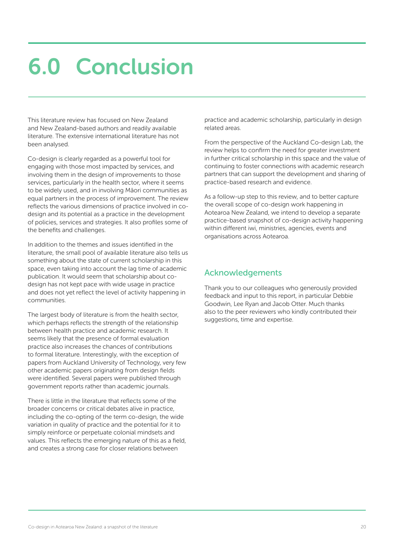# 6.0 Conclusion

This literature review has focused on New Zealand and New Zealand-based authors and readily available literature. The extensive international literature has not been analysed.

Co-design is clearly regarded as a powerful tool for engaging with those most impacted by services, and involving them in the design of improvements to those services, particularly in the health sector, where it seems to be widely used, and in involving Māori communities as equal partners in the process of improvement. The review reflects the various dimensions of practice involved in codesign and its potential as a practice in the development of policies, services and strategies. It also profiles some of the benefits and challenges.

In addition to the themes and issues identified in the literature, the small pool of available literature also tells us something about the state of current scholarship in this space, even taking into account the lag time of academic publication. It would seem that scholarship about codesign has not kept pace with wide usage in practice and does not yet reflect the level of activity happening in communities.

The largest body of literature is from the health sector, which perhaps reflects the strength of the relationship between health practice and academic research. It seems likely that the presence of formal evaluation practice also increases the chances of contributions to formal literature. Interestingly, with the exception of papers from Auckland University of Technology, very few other academic papers originating from design fields were identified. Several papers were published through government reports rather than academic journals.

There is little in the literature that reflects some of the broader concerns or critical debates alive in practice, including the co-opting of the term co-design, the wide variation in quality of practice and the potential for it to simply reinforce or perpetuate colonial mindsets and values. This reflects the emerging nature of this as a field, and creates a strong case for closer relations between

practice and academic scholarship, particularly in design related areas.

From the perspective of the Auckland Co-design Lab, the review helps to confirm the need for greater investment in further critical scholarship in this space and the value of continuing to foster connections with academic research partners that can support the development and sharing of practice-based research and evidence.

As a follow-up step to this review, and to better capture the overall scope of co-design work happening in Aotearoa New Zealand, we intend to develop a separate practice-based snapshot of co-design activity happening within different iwi, ministries, agencies, events and organisations across Aotearoa.

### Acknowledgements

Thank you to our colleagues who generously provided feedback and input to this report, in particular Debbie Goodwin, Lee Ryan and Jacob Otter. Much thanks also to the peer reviewers who kindly contributed their suggestions, time and expertise.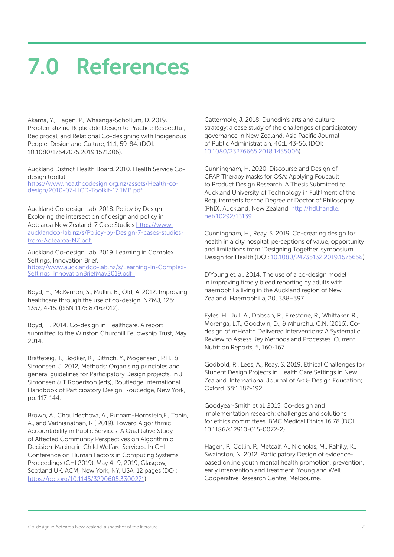# 7.0 References

Akama, Y., Hagen, P., Whaanga-Schollum, D. 2019. Problematizing Replicable Design to Practice Respectful, Reciprocal, and Relational Co-designing with Indigenous People. Design and Culture, 11:1, 59-84. (DOI: 10.1080/17547075.2019.1571306).

Auckland District Health Board. 2010. Health Service Codesign toolkit.

[https://www.healthcodesign.org.nz/assets/Health-co](https://www.healthcodesign.org.nz/assets/Health-co-design/2010-07-HCD-Toolkit-17.1MB.pdf)[design/2010-07-HCD-Toolkit-17.1MB.pdf](https://www.healthcodesign.org.nz/assets/Health-co-design/2010-07-HCD-Toolkit-17.1MB.pdf)

Auckland Co-design Lab. 2018. Policy by Design – Exploring the intersection of design and policy in Aotearoa New Zealand: 7 Case Studies [https://www.](https://static1.squarespace.com/static/55ac5ee5e4b08d4c25220f4b/t/5c58b602ec212da21e45a72a/1549317656958/Policy+by+Design+-+7+cases+studies+from+Aotearoa+NZ.pdf) [aucklandco-lab.nz/s/Policy-by-Design-7-cases-studies](https://static1.squarespace.com/static/55ac5ee5e4b08d4c25220f4b/t/5c58b602ec212da21e45a72a/1549317656958/Policy+by+Design+-+7+cases+studies+from+Aotearoa+NZ.pdf)[from-Aotearoa-NZ.pdf](https://static1.squarespace.com/static/55ac5ee5e4b08d4c25220f4b/t/5c58b602ec212da21e45a72a/1549317656958/Policy+by+Design+-+7+cases+studies+from+Aotearoa+NZ.pdf)

Auckland Co-design Lab. 2019. Learning in Complex Settings, Innovation Brief. https://www.aucklandco-lab.nz/s/Learning-In-Complex-Settings\_InnovationBriefMay2019.pdf

Boyd, H., McKernon, S., Mullin, B., Old, A. 2012. Improving healthcare through the use of co-design. NZMJ, 125: 1357, 4-15. (ISSN 1175 87162012).

Boyd, H. 2014. Co-design in Healthcare. A report submitted to the Winston Churchill Fellowship Trust, May 2014.

Bratteteig, T., Bødker, K., Dittrich, Y., Mogensen., P.H., & Simonsen, J. 2012, Methods: Organising principles and general guidelines for Participatory Design projects. in J Simonsen & T Robertson (eds), Routledge International Handbook of Participatory Design. Routledge, New York, pp. 117-144.

Brown, A., Chouldechova, A., Putnam-Hornstein,E., Tobin, A., and Vaithianathan, R ( 2019). Toward Algorithmic Accountability in Public Services: A Qualitative Study of Affected Community Perspectives on Algorithmic Decision-Making in Child Welfare Services. In CHI Conference on Human Factors in Computing Systems Proceedings (CHI 2019), May 4–9, 2019, Glasgow, Scotland UK. ACM, New York, NY, USA, 12 pages (DOI: [https://doi.org/10.1145/3290605.3300271](https://dl.acm.org/doi/10.1145/3290605.3300271))

Cattermole, J. 2018. Dunedin's arts and culture strategy: a case study of the challenges of participatory governance in New Zealand. Asia Pacific Journal of Public Administration, 40:1, 43-56. (DOI: [10.1080/23276665.2018.1435006\)](https://www.tandfonline.com/doi/full/10.1080/23276665.2018.1435006)

Cunningham, H. 2020. Discourse and Design of CPAP Therapy Masks for OSA: Applying Foucault to Product Design Research. A Thesis Submitted to Auckland University of Technology in Fulfilment of the Requirements for the Degree of Doctor of Philosophy (PhD). Auckland, New Zealand. [http://hdl.handle.](https://openrepository.aut.ac.nz/handle/10292/13139) [net/10292/13139](https://openrepository.aut.ac.nz/handle/10292/13139)

Cunningham, H., Reay, S. 2019. Co-creating design for health in a city hospital: perceptions of value, opportunity and limitations from 'Designing Together' symposium. Design for Health (DOI: [10.1080/24735132.2019.1575658](https://www.tandfonline.com/doi/full/10.1080/24735132.2019.1575658))

D'Young et. al. 2014. The use of a co-design model in improving timely bleed reporting by adults with haemophilia living in the Auckland region of New Zealand. Haemophilia, 20, 388–397.

Eyles, H., Jull, A., Dobson, R., Firestone, R., Whittaker, R., Morenga, L.T., Goodwin, D., & Mhurchu, C.N. (2016). Codesign of mHealth Delivered Interventions: A Systematic Review to Assess Key Methods and Processes. Current Nutrition Reports, 5, 160-167.

Godbold, R., Lees, A., Reay, S. 2019. Ethical Challenges for Student Design Projects in Health Care Settings in New Zealand. International Journal of Art & Design Education; Oxford. 38:1 182-192.

Goodyear-Smith et al. 2015. Co-design and implementation research: challenges and solutions for ethics committees. BMC Medical Ethics 16:78 (DOI 10.1186/s12910-015-0072-2)

Hagen, P., Collin, P., Metcalf, A., Nicholas, M., Rahilly, K., Swainston, N. 2012, Participatory Design of evidencebased online youth mental health promotion, prevention, early intervention and treatment. Young and Well Cooperative Research Centre, Melbourne.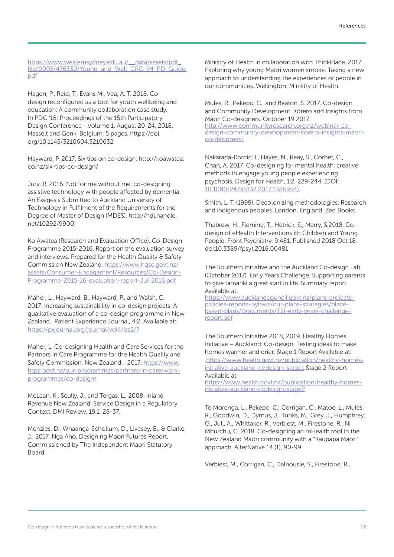https://www.westernsydney.edu.au/\_\_data/assets/pdf\_ file/0005/476330/Young\_and\_Well\_CRC\_IM\_PD\_Guide. pdf

Hagen, P., Reid, T., Evans M., Vea, A. T. 2018. Codesign reconfigured as a tool for youth wellbeing and education: A community collaboration case study. In PDC '18: Proceedings of the 15th Participatory Design Conference - Volume 1, August 20-24, 2018, Hasselt and Genk, Belgium, 5 pages. https://doi. org/10.1145/3210604.3210632

Hayward, P. 2017. Six tips on co-design. [http://koawatea.](https://openrepository.aut.ac.nz/handle/10292/9900) [co.nz/six-tips-co-design/](https://openrepository.aut.ac.nz/handle/10292/9900)

Jury, R. 2016. Not for me without me: [co-designing](https://openrepository.aut.ac.nz/handle/10292/9900) assistive [technology](https://openrepository.aut.ac.nz/handle/10292/9900) with people affected by dementia. An Exegesis [Submitted](https://openrepository.aut.ac.nz/handle/10292/9900) to Auckland University of Technology in Fulfilment of the [Requirements](https://openrepository.aut.ac.nz/handle/10292/9900) for the Degree of Master of Design (MDES). [http://hdl.handle.](https://openrepository.aut.ac.nz/handle/10292/9900) [net/10292/9900\)](https://openrepository.aut.ac.nz/handle/10292/9900)

Ko Awatea (Research and Evaluation Office). Co-Design Programme 2015-2016. Report on the evaluation survey and interviews. Prepared for the Health Quality & Safety Commission New Zealand. [https://www.hqsc.govt.nz/](https://www.hqsc.govt.nz/assets/Consumer-Engagement/Resources/Co-Design-Programme-2015-16-evaluation-report-Jul-2016.pdf) [assets/Consumer-Engagement/Resources/Co-Design-](https://www.hqsc.govt.nz/assets/Consumer-Engagement/Resources/Co-Design-Programme-2015-16-evaluation-report-Jul-2016.pdf)[Programme-2015-16-evaluation-report-Jul-2016.pdf](https://www.hqsc.govt.nz/assets/Consumer-Engagement/Resources/Co-Design-Programme-2015-16-evaluation-report-Jul-2016.pdf)

Maher, L., Hayward, B., Hayward, P., and Walsh, C. 2017. Increasing sustainability in co-design projects: A qualitative evaluation of a co-design programme in New Zealand. Patient Experience Journal, 4:2. Available at: [https://pxjournal.org/journal/vol4/iss2/7](https://pxjournal.org/journal/vol4/iss2/7/)

Maher, L. Co-designing Health and Care Services for the Partners In Care Programme for the Health Quality and Safety Commission, New Zealand. . 2017. [https://www.](https://www.hqsc.govt.nz/our-programmes/partners-in-care/work-programmes/co-design/) [hqsc.govt.nz/our-programmes/partners-in-care/work](https://www.hqsc.govt.nz/our-programmes/partners-in-care/work-programmes/co-design/)[programmes/co-design/](https://www.hqsc.govt.nz/our-programmes/partners-in-care/work-programmes/co-design/)

McLean, K., Scully, J., and Tergas, L., 2008. Inland Revenue New Zealand: Service Design in a Regulatory Context. DMI Review, 19:1, 28-37.

Menzies, D., Whaanga-Schollum, D., Livesey, B., & Clarke, J., 2017. Nga Aho, Designing Maori Futures Report. Commissioned by The Independent Maori Statutory Board.

Ministry of Health in collaboration with ThinkPlace. 2017. Exploring why young Māori women smoke. Taking a new approach to understanding the experiences of people in our communities. Wellington: Ministry of Health.

Mules, R., Pekepo, C., and Beaton, S. 2017. Co-design and Community Development: Kōrero and Insights from Māori Co-designers. October 19 2017. [http://www.communityresearch.org.nz/webinar-co](http://www.communityresearch.org.nz/webinar-co-design-community-development-korero-insights-maori-co-designers/)[design-community-development-korero-insights-maori](http://www.communityresearch.org.nz/webinar-co-design-community-development-korero-insights-maori-co-designers/)[co-designers/](http://www.communityresearch.org.nz/webinar-co-design-community-development-korero-insights-maori-co-designers/)

Nakarada-Kordic, I., Hayes, N., Reay, S., Corbet, C., Chan, A. 2017. Co-designing for mental health: creative methods to engage young people experiencing psychosis. Design for Health, 1:2, 229-244. (DOI: [10.1080/24735132.2017.1386954](https://www.tandfonline.com/doi/full/10.1080/24735132.2017.1386954)).

Smith, L. T. (1999). Decolonizing methodologies: Research and indigenous peoples. London, England: Zed Books.

Thabrew, H., Fleming, T., Hetrick, S., Merry, S.2018. Codesign of eHealth Interventions ith Children and Young People. Front Psychiatry. 9:481. Published 2018 Oct 18. doi:10.3389/fpsyt.2018.00481

The Southern Initiative and the Auckland Co-design Lab (October 2017). Early Years Challenge. Supporting parents to give tamariki a great start in life. Summary report. Available at:

https://www.aucklandcouncil.govt.nz/plans-projectspolicies-reports-bylaws/our-plans-strategies/placebased-plans/Documents/TSI-early-years-challengereport.pdf

The Southern Initiative 2018, 2019. Healthy Homes Initiative – Auckland: Co-design: Testing ideas to make homes warmer and drier: Stage 1 Report Available at: .[https://www.health.govt.nz/publication/healthy-homes](https://www.health.govt.nz/publication/healthy-homes-initiative-auckland-codesign-stage1)[initiative-auckland-codesign-stage1](https://www.health.govt.nz/publication/healthy-homes-initiative-auckland-codesign-stage1) Stage 2 Report Available at:

[https://www.health.govt.nz/publication/healthy-homes](https://www.health.govt.nz/publication/healthy-homes-initiative-auckland-codesign-stage2)[initiative-auckland-codesign-stage2](https://www.health.govt.nz/publication/healthy-homes-initiative-auckland-codesign-stage2)

Te Morenga, L., Pekepo, C., Corrigan, C., Matoe, L., Mules, R., Goodwin, D., Dymus, J., Tunks, M., Grey, J., Humphrey, G., Jull, A., Whittaker, R., Verbiest, M., Firestone, R., Ni Mhurchu, C. 2018. Co-designing an mHealth tool in the New Zealand Māori community with a "Kaupapa Māori" approach. AlterNative 14 (1), 90-99.

Verbiest, M., Corrigan, C., Dalhousie, S., Firestone, R.,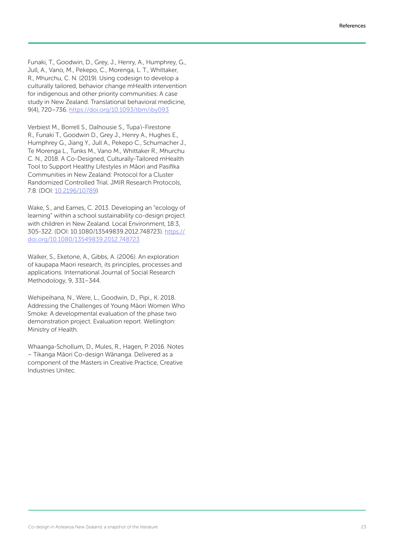Funaki, T., Goodwin, D., Grey, J., Henry, A., Humphrey, G., Jull, A., Vano, M., Pekepo, C., Morenga, L. T., Whittaker, R., Mhurchu, C. N. (2019). Using codesign to develop a culturally tailored, behavior change mHealth intervention for indigenous and other priority communities: A case study in New Zealand. Translational behavioral medicine, 9(4), 720–736. [https://doi.org/10.1093/tbm/iby093](https://academic.oup.com/tbm/article-abstract/9/4/720/5155648?redirectedFrom=fulltext)

Verbiest M., Borrell S., Dalhousie S., Tupa'i-Firestone R., Funaki T., Goodwin D., Grey J., Henry A., Hughes E., Humphrey G., Jiang Y., Jull A., Pekepo C., Schumacher J., Te Morenga L., Tunks M., Vano M., Whittaker R., Mhurchu C. N., 2018. A Co-Designed, Culturally-Tailored mHealth Tool to Support Healthy Lifestyles in Māori and Pasifika Communities in New Zealand: Protocol for a Cluster Randomized Controlled Trial. JMIR Research Protocols, 7:8. (DOI: [10.2196/10789\)](https://www.researchprotocols.org/2018/8/e10789/)

Wake, S., and Eames, C. 2013. Developing an "ecology of learning" within a school sustainability co-design project with children in New Zealand. Local Environment, 18:3 305-322. (DOI: 10.1080/13549839.2012.748723). [https://](https://www.tandfonline.com/doi/abs/10.1080/13549839.2012.748723) [doi.org/10.1080/13549839.2012.748723](https://www.tandfonline.com/doi/abs/10.1080/13549839.2012.748723)

Walker, S., Eketone, A., Gibbs, A. (2006). An exploration of kaupapa Maori research, its principles, processes and applications. International Journal of Social Research Methodology, 9, 331–344.

Wehipeihana, N., Were, L., Goodwin, D., Pipi., K. 2018. Addressing the Challenges of Young Māori Women Who Smoke: A developmental evaluation of the phase two demonstration project. Evaluation report. Wellington: Ministry of Health.

Whaanga-Schollum, D., Mules, R., Hagen, P. 2016. Notes – Tikanga Māori Co-design Wānanga. Delivered as a component of the Masters in Creative Practice, Creative Industries Unitec.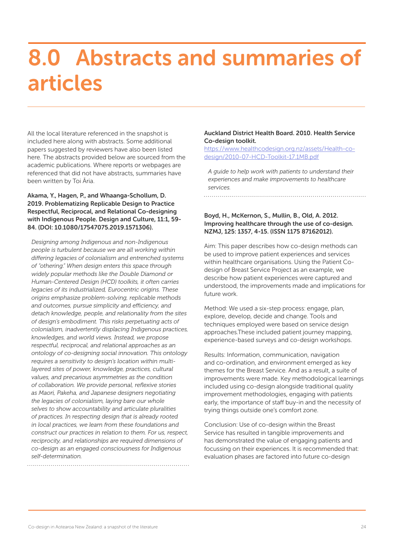# 8.0 Abstracts and summaries of articles

All the local literature referenced in the snapshot is included here along with abstracts. Some additional papers suggested by reviewers have also been listed here. The abstracts provided below are sourced from the academic publications. Where reports or webpages are referenced that did not have abstracts, summaries have been written by Toi Āria.

### Akama, Y., Hagen, P., and Whaanga-Schollum, D. 2019. Problematizing Replicable Design to Practice Respectful, Reciprocal, and Relational Co-designing with Indigenous People. Design and Culture, 11:1, 59- 84. (DOI: 10.1080/17547075.2019.1571306).

*Designing among Indigenous and non-Indigenous people is turbulent because we are all working within differing legacies of colonialism and entrenched systems of "othering." When design enters this space through widely popular methods like the Double Diamond or Human-Centered Design (HCD) toolkits, it often carries legacies of its industrialized, Eurocentric origins. These origins emphasize problem-solving, replicable methods and outcomes, pursue simplicity and efficiency, and detach knowledge, people, and relationality from the sites of design's embodiment. This risks perpetuating acts of colonialism, inadvertently displacing Indigenous practices, knowledges, and world views. Instead, we propose respectful, reciprocal, and relational approaches as an ontology of co-designing social innovation. This ontology requires a sensitivity to design's location within multilayered sites of power, knowledge, practices, cultural values, and precarious asymmetries as the condition of collaboration. We provide personal, reflexive stories as Maori, Pakeha, and Japanese designers negotiating the legacies of colonialism, laying bare our whole selves to show accountability and articulate pluralities of practices. In respecting design that is already rooted in local practices, we learn from these foundations and construct our practices in relation to them. For us, respect, reciprocity, and relationships are required dimensions of co-design as an engaged consciousness for Indigenous self-determination.*

#### Auckland District Health Board. 2010. Health Service Co-design toolkit.

[https://www.healthcodesign.org.nz/assets/Health-co](https://www.healthcodesign.org.nz/assets/Health-co-design/2010-07-HCD-Toolkit-17.1MB.pdf)[design/2010-07-HCD-Toolkit-17.1MB.pdf](https://www.healthcodesign.org.nz/assets/Health-co-design/2010-07-HCD-Toolkit-17.1MB.pdf)

*A guide to help work with patients to understand their experiences and make improvements to healthcare services.* 

### Boyd, H., McKernon, S., Mullin, B., Old, A. 2012. Improving healthcare through the use of co-design. NZMJ, 125: 1357, 4-15. (ISSN 1175 87162012).

Aim: This paper describes how co-design methods can be used to improve patient experiences and services within healthcare organisations. Using the Patient Codesign of Breast Service Project as an example, we describe how patient experiences were captured and understood, the improvements made and implications for future work.

Method: We used a six-step process: engage, plan, explore, develop, decide and change. Tools and techniques employed were based on service design approaches.These included patient journey mapping, experience-based surveys and co-design workshops.

Results: Information, communication, navigation and co-ordination, and environment emerged as key themes for the Breast Service. And as a result, a suite of improvements were made. Key methodological learnings included using co-design alongside traditional quality improvement methodologies, engaging with patients early, the importance of staff buy-in and the necessity of trying things outside one's comfort zone.

Conclusion: Use of co-design within the Breast Service has resulted in tangible improvements and has demonstrated the value of engaging patients and focussing on their experiences. It is recommended that: evaluation phases are factored into future co-design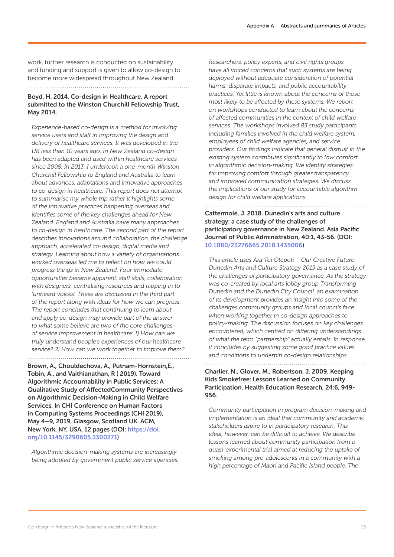work, further research is conducted on sustainability and funding and support is given to allow co-design to become more widespread throughout New Zealand. 

### Boyd, H. 2014. Co-design in Healthcare. A report submitted to the Winston Churchill Fellowship Trust, May 2014.

*Experience-based co-design is a method for involving service users and staff in improving the design and delivery of healthcare services. It was developed in the UK less than 10 years ago. In New Zealand co-design has been adapted and used within healthcare services since 2008. In 2013, I undertook a one-month Winston Churchill Fellowship to England and Australia to learn about advances, adaptations and innovative approaches to co-design in healthcare. This report does not attempt to summarise my whole trip rather it highlights some of the innovative practices happening overseas and identifies some of the key challenges ahead for New Zealand. England and Australia have many approaches to co-design in healthcare. The second part of the report describes innovations around collaboration, the challenge approach, accelerated co-design, digital media and strategy. Learning about how a variety of organisations worked overseas led me to reflect on how we could progress things in New Zealand. Four immediate opportunities became apparent: staff skills, collaboration with designers, centralising resources and tapping in to 'unheard voices'. These are discussed in the third part of the report along with ideas for how we can progress. The report concludes that continuing to learn about and apply co-design may provide part of the answer to what some believe are two of the core challenges of service improvement in healthcare: 1) How can we truly understand people's experiences of our healthcare service? 2) How can we work together to improve them?* 

Brown, A., Chouldechova, A., Putnam-Hornstein,E., Tobin, A., and Vaithianathan, R ( 2019). Toward Algorithmic Accountability in Public Services: A Qualitative Study of AffectedCommunity Perspectives on Algorithmic Decision-Making in Child Welfare Services. In CHI Conference on Human Factors in Computing Systems Proceedings (CHI 2019), May 4–9, 2019, Glasgow, Scotland UK. ACM, New York, NY, USA, 12 pages (DOI: [https://doi.](https://dl.acm.org/doi/10.1145/3290605.3300271) [org/10.1145/3290605.3300271](https://dl.acm.org/doi/10.1145/3290605.3300271))

*Algorithmic decision-making systems are increasingly being adopted by government public service agencies.*  *Researchers, policy experts, and civil rights groups have all voiced concerns that such systems are being deployed without adequate consideration of potential harms, disparate impacts, and public accountability practices. Yet little is known about the concerns of those most likely to be affected by these systems. We report on workshops conducted to learn about the concerns of affected communities in the context of child welfare services. The workshops involved 83 study participants including families involved in the child welfare system, employees of child welfare agencies, and service providers. Our findings indicate that general distrust in the existing system contributes significantly to low comfort in algorithmic decision-making. We identify strategies for improving comfort through greater transparency and improved communication strategies. We discuss the implications of our study for accountable algorithm design for child welfare applications.*

Cattermole, J. 2018. Dunedin's arts and culture strategy: a case study of the challenges of participatory governance in New Zealand. Asia Pacific Journal of Public Administration, 40:1, 43-56. (DOI: [10.1080/23276665.2018.1435006](https://www.tandfonline.com/doi/full/10.1080/23276665.2018.1435006))

*This article uses Ara Toi Ōtepoti – Our Creative Future – Dunedin Arts and Culture Strategy 2015 as a case study of the challenges of participatory governance. As the strategy was co-created by local arts lobby group Transforming Dunedin and the Dunedin City Council, an examination of its development provides an insight into some of the challenges community groups and local councils face when working together in co-design approaches to policy-making. The discussion focuses on key challenges encountered, which centred on differing understandings of what the term "partnership" actually entails. In response, it concludes by suggesting some good practice values and conditions to underpin co-design relationships.*

Charlier, N., Glover, M., Robertson, J. 2009. Keeping Kids Smokefree: Lessons Learned on Community Participation. Health Education Research, 24:6, 949- 956.

*Community participation in program decision-making and implementation is an ideal that community and academic stakeholders aspire to in participatory research. This ideal, however, can be difficult to achieve. We describe lessons learned about community participation from a quasi-experimental trial aimed at reducing the uptake of smoking among pre-adolescents in a community with a high percentage of Maori and Pacific Island people. The*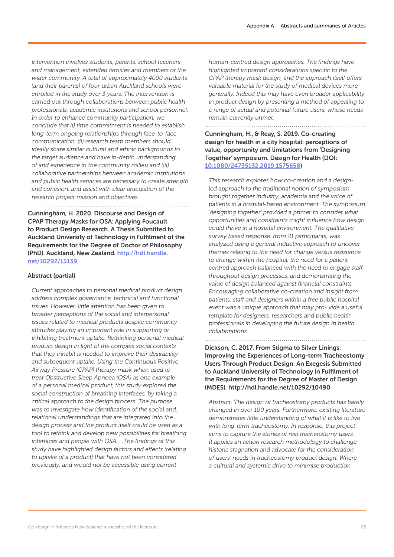*intervention involves students, parents, school teachers and management, extended families and members of the wider community. A total of approximately 4000 students (and their parents) of four urban Auckland schools were enrolled in the study over 3 years. The intervention is carried out through collaborations between public health professionals, academic institutions and school personnel. In order to enhance community participation, we conclude that (i) time commitment is needed to establish long-term ongoing relationships through face-to-face communication, (ii) research team members should ideally share similar cultural and ethnic backgrounds to the target audience and have in-depth understanding of and experience in the community milieu and (iii) collaborative partnerships between academic institutions and public health services are necessary to create strength and cohesion, and assist with clear articulation of the research project mission and objectives.*

Cunningham, H. 2020. Discourse and Design of CPAP Therapy Masks for OSA: Applying Foucault to Product Design Research. A Thesis Submitted to Auckland University of Technology in Fulfilment of the Requirements for the Degree of Doctor of Philosophy (PhD). Auckland, New Zealand. [http://hdl.handle.](https://openrepository.aut.ac.nz/handle/10292/13139) [net/10292/13139](https://openrepository.aut.ac.nz/handle/10292/13139) 

#### Abstract (partial)

*Current approaches to personal medical product design address complex governance, technical and functional issues. However, little attention has been given to broader perceptions of the social and interpersonal issues related to medical products despite community attitudes playing an important role in supporting or inhibiting treatment uptake. Rethinking personal medical product design in light of the complex social contexts that they inhabit is needed to improve their desirability and subsequent uptake. Using the Continuous Positive Airway Pressure (CPAP) therapy mask when used to treat Obstructive Sleep Apnoea (OSA) as one example of a personal medical product, this study explored the social construction of breathing interfaces, by taking a critical approach to the design process. The purpose was to investigate how identification of the social and, relational understandings that are integrated into the design process and the product itself could be used as a tool to rethink and develop new possibilities for breathing interfaces and people with OSA. …The findings of this study have highlighted design factors and effects (relating to uptake of a product) that have not been considered previously, and would not be accessible using current* 

*human-centred design approaches. The findings have highlighted important considerations specific to the CPAP therapy mask design, and the approach itself offers valuable material for the study of medical devices more generally. Indeed this may have even broader applicability in product design by presenting a method of appealing to a range of actual and potential future users, whose needs remain currently unmet.*

Cunningham, H., & Reay, S. 2019. Co-creating design for health in a city hospital: perceptions of value, opportunity and limitations from 'Designing Together' symposium. Design for Health (DOI: [10.1080/24735132.2019.1575658](https://www.tandfonline.com/doi/full/10.1080/24735132.2019.1575658))

*This research explores how co-creation and a designled approach to the traditional notion of symposium brought together industry, academia and the voice of patients in a hospital-based environment. The symposium 'designing together' provided a primer to consider what opportunities and constraints might influence how design could thrive in a hospital environment. The qualitative survey based response, from 21 participants, was analyzed using a general inductive approach to uncover themes relating to the need for change versus resistance to change within the hospital, the need for a patientcentred approach balanced with the need to engage staff throughout design processes, and demonstrating the value of design balanced against financial constraints. Encouraging collaborative co-creation and insight from patients, staff and designers within a free public hospital event was a unique approach that may pro- vide a useful template for designers, researchers and public health professionals in developing the future design in health collaborations.*

Dickson, C. 2017. From Stigma to Silver Linings: Improving the Experiences of Long-term Tracheostomy Users Through Product Design. An Exegesis Submitted to Auckland University of Technology in Fulfilment of the Requirements for the Degree of Master of Design (MDES). http://hdl.handle.net/10292/10490

*Abstract; The design of tracheostomy products has barely changed in over 100 years. Furthermore, existing literature demonstrates little understanding of what it is like to live with long-term tracheostomy. In response, this project aims to capture the stories of real tracheostomy users. It applies an action research methodology to challenge historic stagnation and advocate for the consideration of users' needs in tracheostomy product design. Where a cultural and systemic drive to minimise production*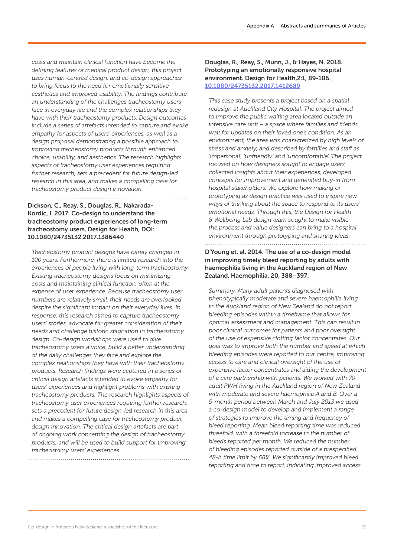*costs and maintain clinical function have become the defining features of medical product design, this project uses human-centred design, and co-design approaches to bring focus to the need for emotionally sensitive aesthetics and improved usability. The findings contribute an understanding of the challenges tracheostomy users face in everyday life and the complex relationships they have with their tracheostomy products. Design outcomes include a series of artefacts intended to capture and evoke empathy for aspects of users' experiences, as well as a design proposal demonstrating a possible approach to improving tracheostomy products through enhanced choice, usability, and aesthetics. The research highlights aspects of tracheostomy user experiences requiring further research, sets a precedent for future design-led research in this area, and makes a compelling case for tracheostomy product design innovation.*

#### Dickson, C., Reay, S., Douglas, R., Nakarada-

Kordic, I. 2017. Co-design to understand the tracheostomy product experiences of long-term tracheostomy users, Design for Health, DOI: 10.1080/24735132.2017.1386440

*Tracheostomy product designs have barely changed in 100 years. Furthermore, there is limited research into the experiences of people living with long-term tracheostomy. Existing tracheostomy designs focus on minimizing costs and maintaining clinical function, often at the expense of user experience. Because tracheostomy user numbers are relatively small, their needs are overlooked despite the significant impact on their everyday lives. In response, this research aimed to capture tracheostomy users' stories, advocate for greater consideration of their needs and challenge historic stagnation in tracheostomy design. Co-design workshops were used to give tracheostomy users a voice, build a better understanding of the daily challenges they face and explore the complex relationships they have with their tracheostomy products. Research findings were captured in a series of critical design artefacts intended to evoke empathy for users' experiences and highlight problems with existing tracheostomy products. The research highlights aspects of tracheostomy user experiences requiring further research, sets a precedent for future design-led research in this area and makes a compelling case for tracheostomy product design innovation. The critical design artefacts are part of ongoing work concerning the design of tracheostomy products, and will be used to build support for improving tracheostomy users' experiences.*

#### Douglas, R., Reay, S., Munn, J., & Hayes, N. 2018. Prototyping an emotionally responsive hospital environment. Design for Health,2:1, 89-106. [10.1080/24735132.2017.1412689](https://www.tandfonline.com/doi/full/10.1080/24735132.2017.1412689)

*This case study presents a project based on a spatial redesign at Auckland City Hospital. The project aimed to improve the public waiting area located outside an intensive care unit – a space where families and friends wait for updates on their loved one's condition. As an environment, the area was characterized by high levels of stress and anxiety, and described by families and staff as 'impersonal', 'unfriendly' and 'uncomfortable'. The project focused on how designers sought to engage users, collected insights about their experiences, developed concepts for improvement and generated buy-in from hospital stakeholders. We explore how making or prototyping as design practice was used to inspire new ways of thinking about the space to respond to its users' emotional needs. Through this, the Design for Health & Wellbeing Lab design team sought to make visible the process and value designers can bring to a hospital environment through prototyping and sharing ideas.* 

### D'Young et. al. 2014. The use of a co-design model in improving timely bleed reporting by adults with haemophilia living in the Auckland region of New Zealand. Haemophilia, 20, 388–397.

*Summary. Many adult patients diagnosed with phenotypically moderate and severe haemophilia living in the Auckland region of New Zealand do not report bleeding episodes within a timeframe that allows for optimal assessment and management. This can result in poor clinical outcomes for patients and poor oversight of the use of expensive clotting factor concentrates. Our goal was to improve both the number and speed at which bleeding episodes were reported to our centre, improving access to care and clinical oversight of the use of expensive factor concentrates and aiding the development of a care partnership with patients. We worked with 70 adult PWH living in the Auckland region of New Zealand with moderate and severe haemophilia A and B. Over a 5-month period between March and July 2013 we used a co-design model to develop and implement a range of strategies to improve the timing and frequency of bleed reporting. Mean bleed reporting time was reduced threefold, with a threefold increase in the number of bleeds reported per month. We reduced the number of bleeding episodes reported outside of a prespecified 48-h time limit by 68%. We significantly improved bleed reporting and time to report, indicating improved access*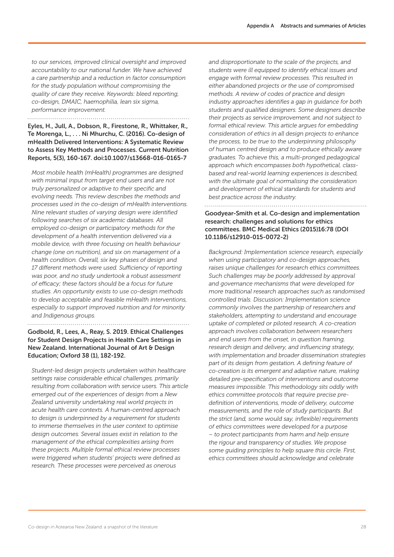*to our services, improved clinical oversight and improved accountability to our national funder. We have achieved a care partnership and a reduction in factor consumption for the study population without compromising the quality of care they receive. Keywords: bleed reporting, co-design, DMAIC, haemophilia, lean six sigma, performance improvement.*

### Eyles, H., Jull, A., Dobson, R., Firestone, R., Whittaker, R., Te Morenga, L., . . . Ni Mhurchu, C. (2016). Co-design of mHealth Delivered Interventions: A Systematic Review to Assess Key Methods and Processes. Current Nutrition Reports, 5(3), 160-167. doi:10.1007/s13668-016-0165-7

*Most mobile health (mHealth) programmes are designed with minimal input from target end users and are not truly personalized or adaptive to their specific and evolving needs. This review describes the methods and processes used in the co-design of mHealth interventions. Nine relevant studies of varying design were identified following searches of six academic databases. All employed co-design or participatory methods for the development of a health intervention delivered via a mobile device, with three focusing on health behaviour change (one on nutrition), and six on management of a health condition. Overall, six key phases of design and 17 different methods were used. Sufficiency of reporting was poor, and no study undertook a robust assessment of efficacy; these factors should be a focus for future studies. An opportunity exists to use co-design methods to develop acceptable and feasible mHealth interventions, especially to support improved nutrition and for minority and Indigenous groups.*

### Godbold, R., Lees, A., Reay, S. 2019. Ethical Challenges for Student Design Projects in Health Care Settings in New Zealand. International Journal of Art & Design Education; Oxford 38 (1), 182-192.

*Student-led design projects undertaken within healthcare settings raise considerable ethical challenges, primarily resulting from collaboration with service users. This article emerged out of the experiences of design from a New Zealand university undertaking real world projects in acute health care contexts. A human-centred approach to design is underpinned by a requirement for students to immerse themselves in the user context to optimise design outcomes. Several issues exist in relation to the management of the ethical complexities arising from these projects. Multiple formal ethical review processes were triggered when students' projects were defined as research. These processes were perceived as onerous* 

*and disproportionate to the scale of the projects, and students were ill equipped to identify ethical issues and engage with formal review processes. This resulted in either abandoned projects or the use of compromised methods. A review of codes of practice and design industry approaches identifies a gap in guidance for both students and qualified designers. Some designers describe their projects as service improvement, and not subject to formal ethical review. This article argues for embedding consideration of ethics in all design projects to enhance the process, to be true to the underpinning philosophy of human centred design and to produce ethically aware graduates. To achieve this, a multi-pronged pedagogical approach which encompasses both hypothetical, classbased and real-world learning experiences is described, with the ultimate goal of normalising the consideration and development of ethical standards for students and best practice across the industry.*

Goodyear-Smith et al. Co-design and implementation research: challenges and solutions for ethics committees. BMC Medical Ethics (2015)16:78 (DOI 10.1186/s12910-015-0072-2)

*Background: Implementation science research, especially when using participatory and co-design approaches, raises unique challenges for research ethics committees. Such challenges may be poorly addressed by approval and governance mechanisms that were developed for more traditional research approaches such as randomised controlled trials. Discussion: Implementation science commonly involves the partnership of researchers and stakeholders, attempting to understand and encourage uptake of completed or piloted research. A co-creation approach involves collaboration between researchers and end users from the onset, in question framing, research design and delivery, and influencing strategy, with implementation and broader dissemination strategies part of its design from gestation. A defining feature of co-creation is its emergent and adaptive nature, making detailed pre-specification of interventions and outcome measures impossible. This methodology sits oddly with ethics committee protocols that require precise predefinition of interventions, mode of delivery, outcome measurements, and the role of study participants. But the strict (and, some would say, inflexible) requirements of ethics committees were developed for a purpose – to protect participants from harm and help ensure the rigour and transparency of studies. We propose some guiding principles to help square this circle. First, ethics committees should acknowledge and celebrate*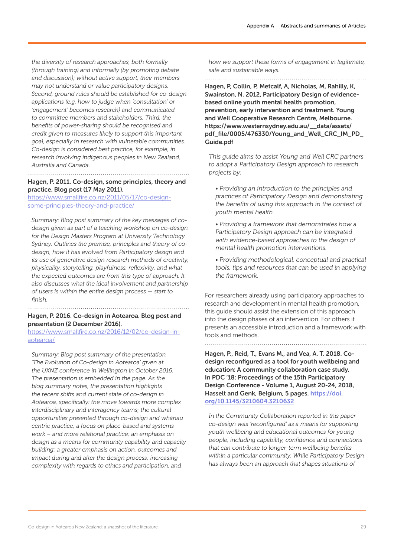*the diversity of research approaches, both formally (through training) and informally (by promoting debate and discussion); without active support, their members may not understand or value participatory designs. Second, ground rules should be established for co-design applications (e.g. how to judge when 'consultation' or 'engagement' becomes research) and communicated to committee members and stakeholders. Third, the benefits of power-sharing should be recognised and credit given to measures likely to support this important goal, especially in research with vulnerable communities. Co-design is considered best practice, for example, in research involving indigenous peoples in New Zealand, Australia and Canada.*

### Hagen, P. 2011. Co-design, some principles, theory and practice. Blog post (17 May 2011).

[https://www.smallfire.co.nz/2011/05/17/co-design](https://www.smallfire.co.nz/2011/05/17/co-design-some-principles-theory-and-practice/)[some-principles-theory-and-practice/](https://www.smallfire.co.nz/2011/05/17/co-design-some-principles-theory-and-practice/)

*Summary: Blog post summary of the key messages of codesign given as part of a teaching workshop on co-design for the Design Masters Program at University Technology Sydney. Outlines the premise, principles and theory of codesign, how it has evolved from Participatory design and its use of generative design research methods of creativity, physicality, storytelling, playfulness, reflexivity, and what the expected outcomes are from this type of approach. It also discusses what the ideal involvement and partnership of users is within the entire design process — start to finish.*

#### Hagen, P. 2016. Co-design in Aotearoa. Blog post and presentation (2 December 2016).

[https://www.smallfire.co.nz/2016/12/02/co-design-in](https://www.smallfire.co.nz/2016/12/02/co-design-in-aotearoa/)[aotearoa/](https://www.smallfire.co.nz/2016/12/02/co-design-in-aotearoa/)

*Summary: Blog post summary of the presentation 'The Evolution of Co-design in Aotearoa' given at the UXNZ conference in Wellington in October 2016. The presentation is embedded in the page. As the blog summary notes, the presentation highlights the recent shifts and current state of co-design in Aotearoa, specifically: the move towards more complex interdisciplinary and interagency teams; the cultural opportunities presented through co-design and whānau centric practice; a focus on place-based and systems work – and more relational practice; an emphasis on design as a means for community capability and capacity building; a greater emphasis on action, outcomes and impact during and after the design process; increasing complexity with regards to ethics and participation, and* 

*how we support these forms of engagement in legitimate, safe and sustainable ways.*

Hagen, P, Collin, P, Metcalf, A, Nicholas, M, Rahilly, K, Swainston, N. 2012, Participatory Design of evidencebased online youth mental health promotion, prevention, early intervention and treatment. Young and Well Cooperative Research Centre, Melbourne. https://www.westernsydney.edu.au/\_\_data/assets/ pdf\_file/0005/476330/Young\_and\_Well\_CRC\_IM\_PD\_ Guide.pdf

*This guide aims to assist Young and Well CRC partners to adopt a Participatory Design approach to research projects by:* 

*• Providing an introduction to the principles and practices of Participatory Design and demonstrating the benefits of using this approach in the context of youth mental health.*

*• Providing a framework that demonstrates how a Participatory Design approach can be integrated with evidence-based approaches to the design of mental health promotion interventions.*

*• Providing methodological, conceptual and practical tools, tips and resources that can be used in applying the framework.*

For researchers already using participatory approaches to research and development in mental health promotion, this guide should assist the extension of this approach into the design phases of an intervention. For others it presents an accessible introduction and a framework with tools and methods.

Hagen, P., Reid, T., Evans M., and Vea, A. T. 2018. Codesign reconfigured as a tool for youth wellbeing and education: A community collaboration case study. In PDC '18: Proceedings of the 15th Participatory Design Conference - Volume 1, August 20-24, 2018, Hasselt and Genk, Belgium, 5 pages. [https://doi.](https://dl.acm.org/doi/10.1145/3210604.3210632) [org/10.1145/3210604.3210632](https://dl.acm.org/doi/10.1145/3210604.3210632)

*In the Community Collaboration reported in this paper co-design was 'reconfigured' as a means for supporting youth wellbeing and educational outcomes for young people, including capability, confidence and connections that can contribute to longer-term wellbeing benefits within a particular community. While Participatory Design has always been an approach that shapes situations of*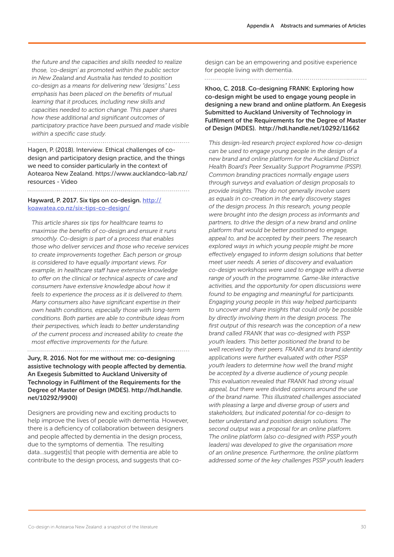*the future and the capacities and skills needed to realize those, 'co-design' as promoted within the public sector in New Zealand and Australia has tended to position co-design as a means for delivering new "designs." Less emphasis has been placed on the benefits of mutual learning that it produces, including new skills and capacities needed to action change. This paper shares how these additional and significant outcomes of participatory practice have been pursued and made visible within a specific case study.*

Hagen, P. (2018). Interview. Ethical challenges of codesign and participatory design practice, and the things we need to consider particularly in the context of Aotearoa New Zealand. https://www.aucklandco-lab.nz/ resources - Video

### Hayward, P. 2017. Six tips on co-design. [http://](https://koawatea.countiesmanukau.health.nz//six-tips-co-design/) [koawatea.co.nz/six-tips-co-design/](https://koawatea.countiesmanukau.health.nz//six-tips-co-design/)

*This article shares six tips for healthcare teams to maximise the benefits of co-design and ensure it runs smoothly. Co-design is part of a process that enables those who deliver services and those who receive services to create improvements together. Each person or group is considered to have equally important views. For example, in healthcare staff have extensive knowledge to offer on the clinical or technical aspects of care and consumers have extensive knowledge about how it feels to experience the process as it is delivered to them. Many consumers also have significant expertise in their own health conditions, especially those with long-term conditions. Both parties are able to contribute ideas from their perspectives, which leads to better understanding of the current process and increased ability to create the most effective improvements for the future.*

Jury, R. 2016. Not for me without me: co-designing assistive technology with people affected by dementia. An Exegesis Submitted to Auckland University of Technology in Fulfilment of the Requirements for the Degree of Master of Design (MDES). http://hdl.handle. net/10292/9900)

Designers are providing new and exciting products to help improve the lives of people with dementia. However, there is a deficiency of collaboration between designers and people affected by dementia in the design process, due to the symptoms of dementia. The resulting data…suggest[s] that people with dementia are able to contribute to the design process, and suggests that codesign can be an empowering and positive experience for people living with dementia.

Khoo, C. 2018. Co-designing FRANK: Exploring how co-design might be used to engage young people in designing a new brand and online platform. An Exegesis Submitted to Auckland University of Technology in Fulfilment of the Requirements for the Degree of Master of Design (MDES). http://hdl.handle.net/10292/11662

*This design-led research project explored how co-design can be used to engage young people in the design of a new brand and online platform for the Auckland District Health Board's Peer Sexuality Support Programme (PSSP). Common branding practices normally engage users through surveys and evaluation of design proposals to provide insights. They do not generally involve users as equals in co-creation in the early discovery stages of the design process. In this research, young people were brought into the design process as informants and partners, to drive the design of a new brand and online platform that would be better positioned to engage, appeal to, and be accepted by their peers. The research explored ways in which young people might be more effectively engaged to inform design solutions that better meet user needs. A series of discovery and evaluation co-design workshops were used to engage with a diverse range of youth in the programme. Game-like interactive activities, and the opportunity for open discussions were found to be engaging and meaningful for participants. Engaging young people in this way helped participants to uncover and share insights that could only be possible by directly involving them in the design process. The first output of this research was the conception of a new brand called FRANK that was co-designed with PSSP youth leaders. This better positioned the brand to be well received by their peers. FRANK and its brand identity applications were further evaluated with other PSSP youth leaders to determine how well the brand might be accepted by a diverse audience of young people. This evaluation revealed that FRANK had strong visual appeal, but there were divided opinions around the use of the brand name. This illustrated challenges associated with pleasing a large and diverse group of users and stakeholders, but indicated potential for co-design to better understand and position design solutions. The second output was a proposal for an online platform. The online platform (also co-designed with PSSP youth leaders) was developed to give the organisation more of an online presence. Furthermore, the online platform addressed some of the key challenges PSSP youth leaders*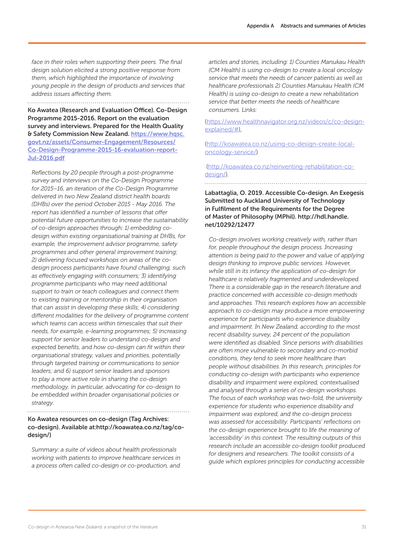*face in their roles when supporting their peers. The final design solution elicited a strong positive response from them, which highlighted the importance of involving young people in the design of products and services that address issues affecting them.*

Ko Awatea (Research and Evaluation Office). Co-Design Programme 2015-2016. Report on the evaluation survey and interviews. Prepared for the Health Quality & Safety Commission New Zealand. [https://www.hqsc.](https://www.hqsc.govt.nz/assets/Consumer-Engagement/Resources/Co-Design-Programme-2015-16-evaluation-report-Jul-2016.pdf) [govt.nz/assets/Consumer-Engagement/Resources/](https://www.hqsc.govt.nz/assets/Consumer-Engagement/Resources/Co-Design-Programme-2015-16-evaluation-report-Jul-2016.pdf) [Co-Design-Programme-2015-16-evaluation-report-](https://www.hqsc.govt.nz/assets/Consumer-Engagement/Resources/Co-Design-Programme-2015-16-evaluation-report-Jul-2016.pdf)[Jul-2016.pdf](https://www.hqsc.govt.nz/assets/Consumer-Engagement/Resources/Co-Design-Programme-2015-16-evaluation-report-Jul-2016.pdf)

*Reflections by 20 people through a post-programme survey and interviews on the Co-Design Programme for 2015–16, an iteration of the Co-Design Programme delivered in two New Zealand district health boards (DHBs) over the period October 2015 - May 2016. The report has identified a number of lessons that offer potential future opportunities to increase the sustainability of co-design approaches through: 1) embedding codesign within existing organisational training at DHBs, for example, the improvement advisor programme, safety programmes and other general improvement training; 2) delivering focused workshops on areas of the codesign process participants have found challenging, such as effectively engaging with consumers; 3) identifying programme participants who may need additional support to train or teach colleagues and connect them to existing training or mentorship in their organisation that can assist in developing these skills; 4) considering different modalities for the delivery of programme content which teams can access within timescales that suit their needs, for example, e-learning programmes; 5) increasing support for senior leaders to understand co-design and expected benefits, and how co-design can fit within their organisational strategy, values and priorities, potentially through targeted training or communications to senior leaders; and 6) support senior leaders and sponsors to play a more active role in sharing the co-design methodology, in particular, advocating for co-design to be embedded within broader organisational policies or strategy.*

#### Ko Awatea resources on co-design (Tag Archives: co-design). Available at:http://koawatea.co.nz/tag/codesign/)

*Summary: a suite of videos about health professionals working with patients to improve healthcare services in a process often called co-design or co-production, and* 

*articles and stories, including: 1) Counties Manukau Health (CM Health) is using co-design to create a local oncology service that meets the needs of cancer patients as well as healthcare professionals 2) Counties Manukau Health (CM Health) is using co-design to create a new rehabilitation service that better meets the needs of healthcare consumers. Links:*

[\(https://www.healthnavigator.org.nz/videos/c/co-design](https://www.healthnavigator.org.nz/videos/c/co-design-explained/)[explained/#\)](https://www.healthnavigator.org.nz/videos/c/co-design-explained/),

[\(http://koawatea.co.nz/using-co-design-create-local](https://koawatea.countiesmanukau.health.nz//using-co-design-create-local-oncology-service/)[oncology-service/](https://koawatea.countiesmanukau.health.nz//using-co-design-create-local-oncology-service/))

([http://koawatea.co.nz/reinventing-rehabilitation-co](https://koawatea.countiesmanukau.health.nz//reinventing-rehabilitation-co-design/)[design/](https://koawatea.countiesmanukau.health.nz//reinventing-rehabilitation-co-design/)).

Labattaglia, O. 2019. Accessible Co-design. An Exegesis Submitted to Auckland University of Technology in Fulfilment of the Requirements for the Degree of Master of Philosophy (MPhil). http://hdl.handle. net/10292/12477

*Co-design involves working creatively with, rather than for, people throughout the design process. Increasing attention is being paid to the power and value of applying design thinking to improve public services. However, while still in its infancy the application of co-design for healthcare is relatively fragmented and underdeveloped. There is a considerable gap in the research literature and practice concerned with accessible co-design methods and approaches. This research explores how an accessible approach to co-design may produce a more empowering experience for participants who experience disability and impairment. In New Zealand, according to the most recent disability survey, 24 percent of the population were identified as disabled. Since persons with disabilities are often more vulnerable to secondary and co-morbid conditions, they tend to seek more healthcare than people without disabilities. In this research, principles for conducting co-design with participants who experience disability and impairment were explored, contextualised and analysed through a series of co-design workshops. The focus of each workshop was two-fold, the university experience for students who experience disability and impairment was explored, and the co-design process was assessed for accessibility. Participants' reflections on the co-design experience brought to life the meaning of 'accessibility' in this context. The resulting outputs of this research include an accessible co-design toolkit produced for designers and researchers. The toolkit consists of a guide which explores principles for conducting accessible*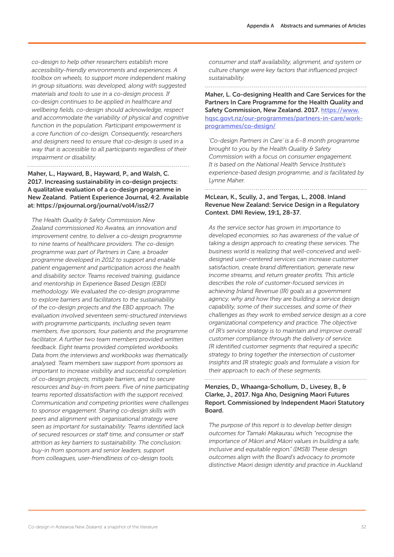*co-design to help other researchers establish more accessibility-friendly environments and experiences. A toolbox on wheels, to support more independent making in group situations, was developed, along with suggested materials and tools to use in a co-design process. If co-design continues to be applied in healthcare and wellbeing fields, co-design should acknowledge, respect and accommodate the variability of physical and cognitive function in the population. Participant empowerment is a core function of co-design. Consequently, researchers and designers need to ensure that co-design is used in a way that is accessible to all participants regardless of their impairment or disability.*

Maher, L., Hayward, B., Hayward, P., and Walsh, C. 2017. Increasing sustainability in co-design projects: A qualitative evaluation of a co-design programme in New Zealand. Patient Experience Journal, 4:2. Available at: https://pxjournal.org/journal/vol4/iss2/7

*The Health Quality & Safety Commission New Zealand commissioned Ko Awatea, an innovation and improvement centre, to deliver a co-design programme to nine teams of healthcare providers. The co-design programme was part of Partners in Care, a broader programme developed in 2012 to support and enable patient engagement and participation across the health and disability sector. Teams received training, guidance and mentorship in Experience Based Design (EBD) methodology. We evaluated the co-design programme to explore barriers and facilitators to the sustainability of the co-design projects and the EBD approach. The evaluation involved seventeen semi-structured interviews with programme participants, including seven team members, five sponsors, four patients and the programme facilitator. A further two team members provided written feedback. Eight teams provided completed workbooks. Data from the interviews and workbooks was thematically analysed. Team members saw support from sponsors as important to increase visibility and successful completion of co-design projects, mitigate barriers, and to secure resources and buy-in from peers. Five of nine participating teams reported dissatisfaction with the support received. Communication and competing priorities were challenges to sponsor engagement. Sharing co-design skills with peers and alignment with organisational strategy were seen as important for sustainability. Teams identified lack of secured resources or staff time, and consumer or staff attrition as key barriers to sustainability. The conclusion: buy-in from sponsors and senior leaders, support from colleagues, user-friendliness of co-design tools,* 

*consumer and staff availability, alignment, and system or culture change were key factors that influenced project sustainability.*

Maher, L. Co-designing Health and Care Services for the Partners In Care Programme for the Health Quality and Safety Commission, New Zealand. 2017. [https://www.](https://www.hqsc.govt.nz/our-programmes/partners-in-care/work-programmes/co-design/) [hqsc.govt.nz/our-programmes/partners-in-care/work](https://www.hqsc.govt.nz/our-programmes/partners-in-care/work-programmes/co-design/)[programmes/co-design/](https://www.hqsc.govt.nz/our-programmes/partners-in-care/work-programmes/co-design/)

*'Co-design Partners in Care' is a 6–8 month programme brought to you by the Health Quality & Safety Commission with a focus on consumer engagement. It is based on the National Health Service Institute's experience-based design programme, and is facilitated by Lynne Maher.*

McLean, K., Scully, J., and Tergas, L., 2008. Inland Revenue New Zealand: Service Design in a Regulatory Context. DMI Review, 19:1, 28-37.

*As the service sector has grown in importance to developed economies, so has awareness of the value of taking a design approach to creating these services. The business world is realizing that well-conceived and welldesigned user-centered services can increase customer satisfaction, create brand differentiation, generate new income streams, and return greater profits. This article describes the role of customer-focused services in achieving Inland Revenue (IR) goals as a government agency, why and how they are building a service design capability, some of their successes, and some of their challenges as they work to embed service design as a core organizational competency and practice. The objective of IR's service strategy is to maintain and improve overall customer compliance through the delivery of service. IR identified customer segments that required a specific strategy to bring together the intersection of customer insights and IR strategic goals and formulate a vision for their approach to each of these segments.*

Menzies, D., Whaanga-Schollum, D., Livesey, B., & Clarke, J., 2017. Nga Aho, Designing Maori Futures Report. Commissioned by Independent Maori Statutory Board.

*The purpose of this report is to develop better design outcomes for Tamaki Makaurau which "recognise the importance of Māori and Māori values in building a safe, inclusive and equitable region." (IMSB) These design outcomes align with the Board's advocacy to promote distinctive Maori design identity and practice in Auckland*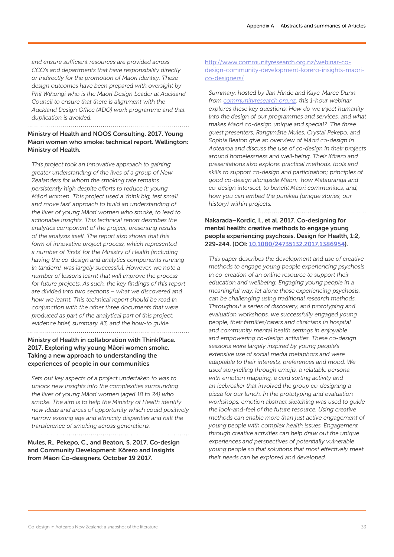*and ensure sufficient resources are provided across CCO's and departments that have responsibility directly or indirectly for the promotion of Maori identity. These design outcomes have been prepared with oversight by Phil Wihongi who is the Maori Design Leader at Auckland Council to ensure that there is alignment with the Auckland Design Office (ADO) work programme and that duplication is avoided.*

### Ministry of Health and NOOS Consulting. 2017. Young Māori women who smoke: technical report. Wellington: Ministry of Health.

*This project took an innovative approach to gaining greater understanding of the lives of a group of New Zealanders for whom the smoking rate remains persistently high despite efforts to reduce it: young Māori women. This project used a 'think big, test small and move fast' approach to build an understanding of the lives of young Māori women who smoke, to lead to actionable insights. This technical report describes the analytics component of the project, presenting results of the analysis itself. The report also shows that this form of innovative project process, which represented a number of 'firsts' for the Ministry of Health (including having the co-design and analytics components running in tandem), was largely successful. However, we note a number of lessons learnt that will improve the process for future projects. As such, the key findings of this report are divided into two sections – what we discovered and how we learnt. This technical report should be read in conjunction with the other three documents that were produced as part of the analytical part of this project: evidence brief, summary A3, and the how-to guide.* 

### Ministry of Health in collaboration with ThinkPlace. 2017. Exploring why young Māori women smoke. Taking a new approach to understanding the experiences of people in our communities

*Sets out key aspects of a project undertaken to was to unlock new insights into the complexities surrounding the lives of young Māori women (aged 18 to 24) who smoke. The aim is to help the Ministry of Health identify new ideas and areas of opportunity which could positively narrow existing age and ethnicity disparities and halt the transference of smoking across generations.* 

Mules, R., Pekepo, C., and Beaton, S. 2017. Co-design and Community Development: Kōrero and Insights from Māori Co-designers. October 19 2017.

#### [http://www.communityresearch.org.nz/webinar-co](http://www.communityresearch.org.nz/webinar-co-design-community-development-korero-insights-maori-co-designers/)[design-community-development-korero-insights-maori](http://www.communityresearch.org.nz/webinar-co-design-community-development-korero-insights-maori-co-designers/)[co-designers/](http://www.communityresearch.org.nz/webinar-co-design-community-development-korero-insights-maori-co-designers/)

*Summary: hosted by Jan Hinde and Kaye-Maree Dunn from [communityresearch.org.nz](http://communityresearch.org.nz), this 1-hour webinar explores these key questions: How do we inject humanity into the design of our programmes and services, and what makes Maori co-design unique and special? The three guest presenters, Rangimārie Mules, Crystal Pekepo, and Sophia Beaton give an overview of Māori co-design in Aotearoa and discuss the use of co-design in their projects around homelessness and well-being. Their Kōrero and presentations also explore: practical methods, tools and skills to support co-design and participation; principles of good co-design alongside Māori; how Mātauranga and co-design intersect, to benefit Māori communities; and, how you can embed the purakau (unique stories, our history) within projects.*

Nakarada–Kordic, I., et al. 2017. Co-designing for mental health: creative methods to engage young people experiencing psychosis. Design for Health, 1:2, 229-244. (DOI: [10.1080/24735132.2017.1386954](https://www.tandfonline.com/doi/full/10.1080/24735132.2017.1386954)).

*This paper describes the development and use of creative methods to engage young people experiencing psychosis in co-creation of an online resource to support their education and wellbeing. Engaging young people in a meaningful way, let alone those experiencing psychosis, can be challenging using traditional research methods. Throughout a series of discovery, and prototyping and evaluation workshops, we successfully engaged young people, their families/carers and clinicians in hospital and community mental health settings in enjoyable and empowering co-design activities. These co-design sessions were largely inspired by young people's extensive use of social media metaphors and were adaptable to their interests, preferences and mood. We used storytelling through emojis, a relatable persona with emotion mapping, a card sorting activity and an icebreaker that involved the group co-designing a pizza for our lunch. In the prototyping and evaluation workshops, emotion abstract sketching was used to guide the look-and-feel of the future resource. Using creative methods can enable more than just active engagement of young people with complex health issues. Engagement through creative activities can help draw out the unique experiences and perspectives of potentially vulnerable young people so that solutions that most effectively meet their needs can be explored and developed.*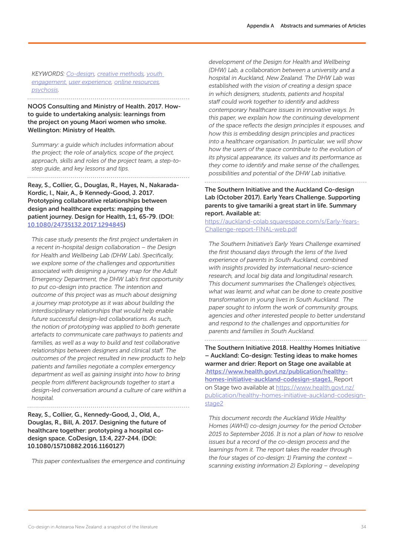*KEYWORDS: [Co-design,](https://www.tandfonline.com/keyword/Co-design) [creative methods](https://www.tandfonline.com/keyword/Creative+Methods), [youth](https://www.tandfonline.com/keyword/Youth+Engagement)  [engagement,](https://www.tandfonline.com/keyword/Youth+Engagement) [user experience](https://www.tandfonline.com/keyword/User+Experience), [online resources](https://www.tandfonline.com/keyword/Online+Resources), [psychosis.](https://www.tandfonline.com/keyword/Psychosis)*

NOOS Consulting and Ministry of Health. 2017. Howto guide to undertaking analysis: learnings from the project on young Maori women who smoke. Wellington: Ministry of Health.

*Summary: a guide which includes information about the project; the role of analytics, scope of the project, approach, skills and roles of the project team, a step-tostep guide, and key lessons and tips.*

Reay, S., Collier, G., Douglas, R., Hayes, N., Nakarada-Kordic, I., Nair, A., & Kennedy-Good, J. 2017. Prototyping collaborative relationships between design and healthcare experts: mapping the patient journey. Design for Health, 1:1, 65-79. (DOI: [10.1080/24735132.2017.1294845\)](https://www.tandfonline.com/doi/full/10.1080/24735132.2017.1294845)

*This case study presents the first project undertaken in a recent in-hospital design collaboration – the Design for Health and Wellbeing Lab (DHW Lab). Specifically, we explore some of the challenges and opportunities associated with designing a journey map for the Adult Emergency Department, the DHW Lab's first opportunity to put co-design into practice. The intention and outcome of this project was as much about designing a journey map prototype as it was about building the interdisciplinary relationships that would help enable future successful design-led collaborations. As such, the notion of prototyping was applied to both generate artefacts to communicate care pathways to patients and families, as well as a way to build and test collaborative relationships between designers and clinical staff. The outcomes of the project resulted in new products to help patients and families negotiate a complex emergency department as well as gaining insight into how to bring people from different backgrounds together to start a design-led conversation around a culture of care within a hospital.*

Reay, S., Collier, G., Kennedy-Good, J., Old, A., Douglas, R., Bill, A. 2017. Designing the future of healthcare together: prototyping a hospital codesign space. CoDesign, 13:4, 227-244. (DOI: 10.1080/15710882.2016.1160127)

*This paper contextualises the emergence and continuing* 

*development of the Design for Health and Wellbeing (DHW) Lab, a collaboration between a university and a hospital in Auckland, New Zealand. The DHW Lab was established with the vision of creating a design space in which designers, students, patients and hospital staff could work together to identify and address contemporary healthcare issues in innovative ways. In this paper, we explain how the continuing development of the space reflects the design principles it espouses, and how this is embedding design principles and practices into a healthcare organisation. In particular, we will show how the users of the space contribute to the evolution of its physical appearance, its values and its performance as they come to identify and make sense of the challenges, possibilities and potential of the DHW Lab initiative.*

### The Southern Initiative and the Auckland Co-design Lab (October 2017). Early Years Challenge. Supporting parents to give tamariki a great start in life. Summary report. Available at:

[https://auckland-colab.squarespace.com/s/Early-Years-](https://auckland-colab.squarespace.com/s/Early-Years-Challenge-report-FINAL-web.pdf)[Challenge-report-FINAL-web.pdf](https://auckland-colab.squarespace.com/s/Early-Years-Challenge-report-FINAL-web.pdf)

*The Southern Initiative's Early Years Challenge examined the first thousand days through the lens of the lived experience of parents in South Auckland, combined with insights provided by international neuro-science research, and local big data and longitudinal research. This document summarises the Challenge's objectives, what was learnt, and what can be done to create positive transformation in young lives in South Auckland. The paper sought to inform the work of community groups, agencies and other interested people to better understand and respond to the challenges and opportunities for parents and families in South Auckland.* 

The Southern Initiative 2018. Healthy Homes Initiative – Auckland: Co-design: Testing ideas to make homes warmer and drier: Report on Stage one available at .[https://www.health.govt.nz/publication/healthy](https://www.health.govt.nz/publication/healthy-homes-initiative-auckland-codesign-stage1)[homes-initiative-auckland-codesign-stage1](https://www.health.govt.nz/publication/healthy-homes-initiative-auckland-codesign-stage1). Report on Stage two available at [https://www.health.govt.nz/](https://www.health.govt.nz/publication/healthy-homes-initiative-auckland-codesign-stage2) [publication/healthy-homes-initiative-auckland-codesign](https://www.health.govt.nz/publication/healthy-homes-initiative-auckland-codesign-stage2)[stage2](https://www.health.govt.nz/publication/healthy-homes-initiative-auckland-codesign-stage2)

*This document records the Auckland Wide Healthy Homes (AWHI) co-design journey for the period October 2015 to September 2016. It is not a plan of how to resolve issues but a record of the co-design process and the learnings from it. The report takes the reader through the four stages of co-design: 1) Framing the context – scanning existing information 2) Exploring – developing*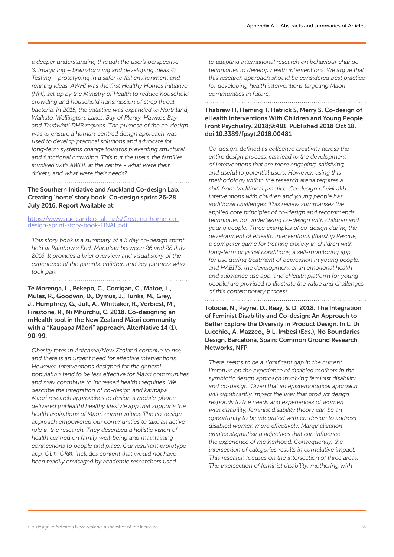*a deeper understanding through the user's perspective 3) Imagining – brainstorming and developing ideas 4) Testing – prototyping in a safer to fail environment and refining ideas. AWHI was the first Healthy Homes Initiative (HHI) set up by the Ministry of Health to reduce household crowding and household transmission of strep throat bacteria. In 2015, the initiative was expanded to Northland, Waikato, Wellington, Lakes, Bay of Plenty, Hawke's Bay and Tairāwhiti DHB regions. The purpose of the co-design was to ensure a human-centred design approach was used to develop practical solutions and advocate for long-term systems change towards preventing structural and functional crowding. This put the users, the families involved with AWHI, at the centre - what were their drivers, and what were their needs?* 

### The Southern Initiative and Auckland Co-design Lab, Creating 'home' story book. Co-design sprint 26-28 July 2016. Report Available at:

[https://www.aucklandco-lab.nz/s/Creating-home-co](https://static1.squarespace.com/static/55ac5ee5e4b08d4c25220f4b/t/5b7604e74d7a9c635dd95ea7/1534461176843/Creating+home+co-design+sprint+-+story+book+FINAL.pdf)[design-sprint-story-book-FINAL.pdf](https://static1.squarespace.com/static/55ac5ee5e4b08d4c25220f4b/t/5b7604e74d7a9c635dd95ea7/1534461176843/Creating+home+co-design+sprint+-+story+book+FINAL.pdf)

*This story book is a summary of a 3 day co-design sprint held at Rainbow's End, Manukau between 26 and 28 July 2016. It provides a brief overview and visual story of the experience of the parents, children and key partners who took part.*

Te Morenga, L., Pekepo, C., Corrigan, C., Matoe, L., Mules, R., Goodwin, D., Dymus, J., Tunks, M., Grey, J., Humphrey, G., Jull, A., Whittaker, R., Verbiest, M., Firestone, R., Ni Mhurchu, C. 2018. Co-designing an mHealth tool in the New Zealand Māori community with a "Kaupapa Māori" approach. AlterNative 14 (1), 90-99.

*Obesity rates in Aotearoa/New Zealand continue to rise, and there is an urgent need for effective interventions. However, interventions designed for the general population tend to be less effective for Māori communities and may contribute to increased health inequities. We describe the integration of co-design and kaupapa Māori research approaches to design a mobile-phone delivered (mHealth) healthy lifestyle app that supports the health aspirations of Māori communities. The co-design approach empowered our communities to take an active role in the research. They described a holistic vision of health centred on family well-being and maintaining connections to people and place. Our resultant prototype app, OL@-OR@, includes content that would not have been readily envisaged by academic researchers used* 

*to adapting international research on behaviour change techniques to develop health interventions. We argue that this research approach should be considered best practice for developing health interventions targeting Māori communities in future.*

### Thabrew H, Fleming T, Hetrick S, Merry S. Co-design of eHealth Interventions With Children and Young People. Front Psychiatry. 2018;9:481. Published 2018 Oct 18. doi:10.3389/fpsyt.2018.00481

*Co-design, defined as collective creativity across the entire design process, can lead to the development of interventions that are more engaging, satisfying, and useful to potential users. However, using this methodology within the research arena requires a shift from traditional practice. Co-design of eHealth interventions with children and young people has additional challenges. This review summarizes the applied core principles of co-design and recommends techniques for undertaking co-design with children and young people. Three examples of co-design during the development of eHealth interventions (Starship Rescue, a computer game for treating anxiety in children with long-term physical conditions, a self-monitoring app for use during treatment of depression in young people, and HABITS, the development of an emotional health and substance use app, and eHealth platform for young people) are provided to illustrate the value and challenges of this contemporary process.*

Tolooei, N., Payne, D., Reay, S. D. 2018. The Integration of Feminist Disability and Co-design: An Approach to Better Explore the Diversity in Product Design. In L. Di Lucchio,, A. Mazzeo,, & L. Imbesi (Eds.), No Boundaries Design. Barcelona, Spain: Common Ground Research Networks, NFP

*There seems to be a significant gap in the current literature on the experience of disabled mothers in the symbiotic design approach involving feminist disability and co-design. Given that an epistemological approach will significantly impact the way that product design responds to the needs and experiences of women with disability, feminist disability theory can be an opportunity to be integrated with co-design to address disabled women more effectively. Marginalization creates stigmatizing adjectives that can influence the experience of motherhood. Consequently, the intersection of categories results in cumulative impact. This research focuses on the intersection of three areas. The intersection of feminist disability, mothering with*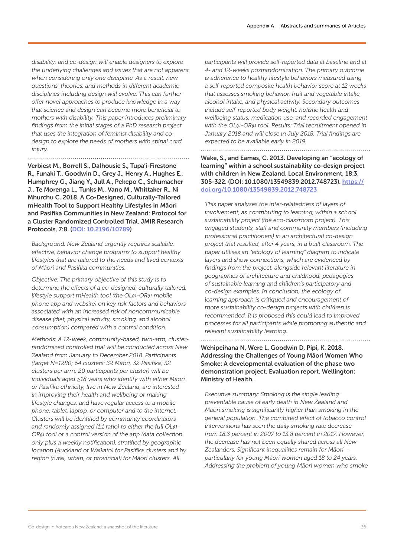*disability, and co-design will enable designers to explore the underlying challenges and issues that are not apparent when considering only one discipline. As a result, new questions, theories, and methods in different academic disciplines including design will evolve. This can further offer novel approaches to produce knowledge in a way that science and design can become more beneficial to mothers with disability. This paper introduces preliminary findings from the initial stages of a PhD research project that uses the integration of feminist disability and codesign to explore the needs of mothers with spinal cord injury.*

Verbiest M., Borrell S., Dalhousie S., Tupa'i-Firestone R., Funaki T., Goodwin D., Grey J., Henry A., Hughes E., Humphrey G., Jiang Y., Jull A., Pekepo C., Schumacher J., Te Morenga L., Tunks M., Vano M., Whittaker R., Ni Mhurchu C. 2018. A Co-Designed, Culturally-Tailored mHealth Tool to Support Healthy Lifestyles in Māori and Pasifika Communities in New Zealand: Protocol for a Cluster Randomized Controlled Trial. JMIR Research Protocols, 7:8. [\(DOI: 10.2196/10789](https://www.researchprotocols.org/2018/8/e10789/))

*Background: New Zealand urgently requires scalable, effective, behavior change programs to support healthy lifestyles that are tailored to the needs and lived contexts of Māori and Pasifika communities.*

*Objective: The primary objective of this study is to determine the effects of a co-designed, culturally tailored, lifestyle support mHealth tool (the OL@-OR@ mobile phone app and website) on key risk factors and behaviors associated with an increased risk of noncommunicable disease (diet, physical activity, smoking, and alcohol consumption) compared with a control condition.*

*Methods: A 12-week, community-based, two-arm, clusterrandomized controlled trial will be conducted across New Zealand from January to December 2018. Participants (target N=1280; 64 clusters: 32 Māori, 32 Pasifika; 32 clusters per arm; 20 participants per cluster) will be individuals aged ≥18 years who identify with either Māori or Pasifika ethnicity, live in New Zealand, are interested in improving their health and wellbeing or making lifestyle changes, and have regular access to a mobile phone, tablet, laptop, or computer and to the internet. Clusters will be identified by community coordinators and randomly assigned (1:1 ratio) to either the full OL@- OR@ tool or a control version of the app (data collection only plus a weekly notification), stratified by geographic location (Auckland or Waikato) for Pasifika clusters and by region (rural, urban, or provincial) for Māori clusters. All* 

*participants will provide self-reported data at baseline and at 4- and 12-weeks postrandomization. The primary outcome is adherence to healthy lifestyle behaviors measured using a self-reported composite health behavior score at 12 weeks that assesses smoking behavior, fruit and vegetable intake, alcohol intake, and physical activity. Secondary outcomes include self-reported body weight, holistic health and wellbeing status, medication use, and recorded engagement with the OL@-OR@ tool. Results: Trial recruitment opened in January 2018 and will close in July 2018. Trial findings are expected to be available early in 2019.* 

Wake, S., and Eames, C. 2013. Developing an "ecology of learning" within a school sustainability co-design project with children in New Zealand. Local Environment, 18:3, 305-322. (DOI: 10.1080/13549839.2012.748723). [https://](https://www.tandfonline.com/doi/abs/10.1080/13549839.2012.748723) [doi.org/10.1080/13549839.2012.748723](https://www.tandfonline.com/doi/abs/10.1080/13549839.2012.748723)

*This paper analyses the inter-relatedness of layers of involvement, as contributing to learning, within a school sustainability project (the eco-classroom project). This engaged students, staff and community members (including professional practitioners) in an architectural co-design project that resulted, after 4 years, in a built classroom. The paper utilises an "ecology of learning" diagram to indicate layers and show connections, which are evidenced by findings from the project, alongside relevant literature in geographies of architecture and childhood, pedagogies of sustainable learning and children's participatory and co-design examples. In conclusion, the ecology of learning approach is critiqued and encouragement of more sustainability co-design projects with children is recommended. It is proposed this could lead to improved processes for all participants while promoting authentic and relevant sustainability learning.*

Wehipeihana N, Were L, Goodwin D, Pipi, K. 2018. Addressing the Challenges of Young Māori Women Who Smoke: A developmental evaluation of the phase two demonstration project. Evaluation report. Wellington: Ministry of Health.

*Executive summary: Smoking is the single leading preventable cause of early death in New Zealand and Māori smoking is significantly higher than smoking in the general population. The combined effect of tobacco control interventions has seen the daily smoking rate decrease from 18.3 percent in 2007 to 13.8 percent in 2017. However, the decrease has not been equally shared across all New Zealanders. Significant inequalities remain for Māori – particularly for young Māori women aged 18 to 24 years. Addressing the problem of young Māori women who smoke*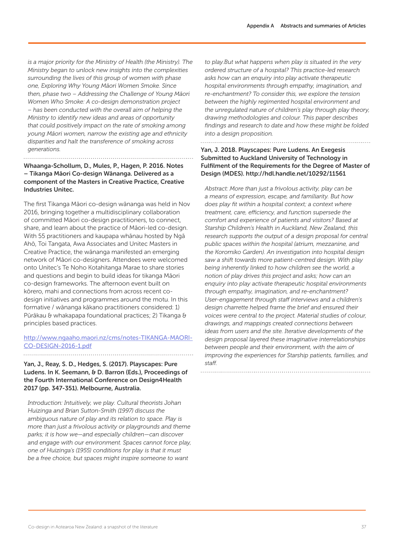*is a major priority for the Ministry of Health (the Ministry). The Ministry began to unlock new insights into the complexities surrounding the lives of this group of women with phase one, Exploring Why Young Māori Women Smoke. Since then, phase two – Addressing the Challenge of Young Māori Women Who Smoke: A co-design demonstration project – has been conducted with the overall aim of helping the Ministry to identify new ideas and areas of opportunity that could positively impact on the rate of smoking among young Māori women, narrow the existing age and ethnicity disparities and halt the transference of smoking across generations.*

### Whaanga-Schollum, D., Mules, P., Hagen, P. 2016. Notes – Tikanga Māori Co-design Wānanga. Delivered as a component of the Masters in Creative Practice, Creative Industries Unitec.

The first Tikanga Māori co-design wānanga was held in Nov 2016, bringing together a multidisciplinary collaboration of committed Māori co-design practitioners, to connect, share, and learn about the practice of Māori-led co-design. With 55 practitioners and kaupapa whānau hosted by Ngā Ahō, Toi Tangata, Awa Associates and Unitec Masters in Creative Practice, the wānanga manifested an emerging network of Māori co-designers. Attendees were welcomed onto Unitec's Te Noho Kotahitanga Marae to share stories and questions and begin to build ideas for tikanga Māori co-design frameworks. The afternoon event built on kōrero, mahi and connections from across recent codesign initiatives and programmes around the motu. In this formative / wānanga kākano practitioners considered: 1) Pūrākau & whakapapa foundational practices; 2) Tikanga & principles based practices.

[http://www.ngaaho.maori.nz/cms/notes-TIKANGA-MAORI-](http://www.ngaaho.maori.nz/cms/notes-TIKANGA-MAORI-CO-DESIGN-2016-1.pdf)[CO-DESIGN-2016-1.pdf](http://www.ngaaho.maori.nz/cms/notes-TIKANGA-MAORI-CO-DESIGN-2016-1.pdf)

Yan, J., Reay, S. D., Hedges, S. (2017). Playscapes: Pure Ludens. In K. Seemann, & D. Barron (Eds.), Proceedings of the Fourth International Conference on Design4Health 2017 (pp. 347-351). Melbourne, Australia.

*Introduction: Intuitively, we play. Cultural theorists Johan Huizinga and Brian Sutton-Smith (1997) discuss the ambiguous nature of play and its relation to space. Play is more than just a frivolous activity or playgrounds and theme parks; it is how we—and especially children—can discover and engage with our environment. Spaces cannot force play, one of Huizinga's (1955) conditions for play is that it must be a free choice, but spaces might inspire someone to want* 

*to play.But what happens when play is situated in the very ordered structure of a hospital? This practice-led research asks how can an enquiry into play activate therapeutic hospital environments through empathy, imagination, and re-enchantment? To consider this, we explore the tension between the highly regimented hospital environment and the unregulated nature of children's play through play theory, drawing methodologies and colour. This paper describes findings and research to date and how these might be folded into a design proposition.*

### Yan, J. 2018. Playscapes: Pure Ludens. An Exegesis Submitted to Auckland University of Technology in Fulfilment of the Requirements for the Degree of Master of Design (MDES). http://hdl.handle.net/10292/11561

*Abstract: More than just a frivolous activity, play can be a means of expression, escape, and familiarity. But how does play fit within a hospital context; a context where treatment, care, efficiency, and function supersede the comfort and experience of patients and visitors? Based at Starship Children's Health in Auckland, New Zealand, this research supports the output of a design proposal for central public spaces within the hospital (atrium, mezzanine, and the Koromiko Garden). An investigation into hospital design saw a shift towards more patient-centred design. With play being inherently linked to how children see the world, a notion of play drives this project and asks; how can an enquiry into play activate therapeutic hospital environments through empathy, imagination, and re-enchantment? User-engagement through staff interviews and a children's design charrette helped frame the brief and ensured their voices were central to the project. Material studies of colour, drawings, and mappings created connections between ideas from users and the site. Iterative developments of the design proposal layered these imaginative interrelationships between people and their environment, with the aim of improving the experiences for Starship patients, families, and staff.*